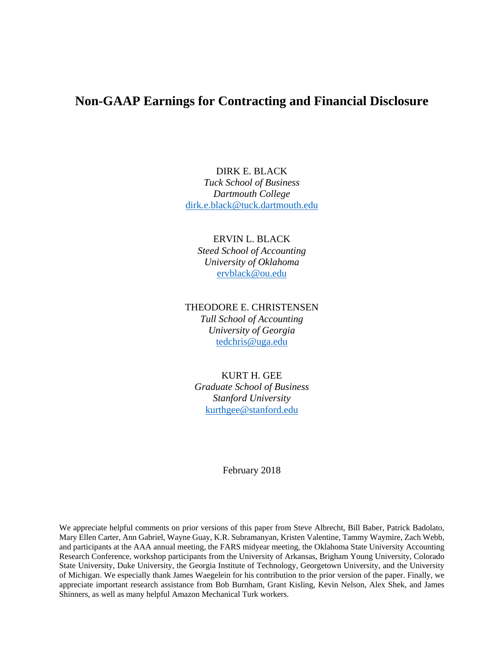# **Non-GAAP Earnings for Contracting and Financial Disclosure**

## DIRK E. BLACK *Tuck School of Business Dartmouth College*

dirk.e.black@tuck.dartmouth.edu

### ERVIN L. BLACK

*Steed School of Accounting University of Oklahoma*  ervblack@ou.edu

#### THEODORE E. CHRISTENSEN

*Tull School of Accounting University of Georgia*  tedchris@uga.edu

## KURT H. GEE

*Graduate School of Business Stanford University*  kurthgee@stanford.edu

February 2018

We appreciate helpful comments on prior versions of this paper from Steve Albrecht, Bill Baber, Patrick Badolato, Mary Ellen Carter, Ann Gabriel, Wayne Guay, K.R. Subramanyan, Kristen Valentine, Tammy Waymire, Zach Webb, and participants at the AAA annual meeting, the FARS midyear meeting, the Oklahoma State University Accounting Research Conference, workshop participants from the University of Arkansas, Brigham Young University, Colorado State University, Duke University, the Georgia Institute of Technology, Georgetown University, and the University of Michigan. We especially thank James Waegelein for his contribution to the prior version of the paper. Finally, we appreciate important research assistance from Bob Burnham, Grant Kisling, Kevin Nelson, Alex Shek, and James Shinners, as well as many helpful Amazon Mechanical Turk workers.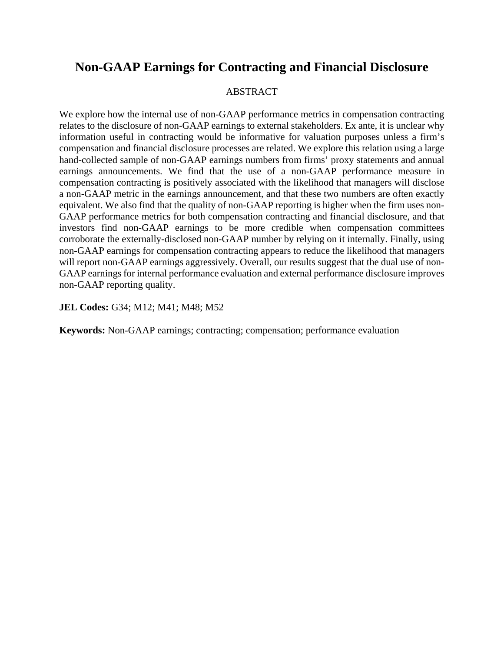# **Non-GAAP Earnings for Contracting and Financial Disclosure**

#### ABSTRACT

We explore how the internal use of non-GAAP performance metrics in compensation contracting relates to the disclosure of non-GAAP earnings to external stakeholders. Ex ante, it is unclear why information useful in contracting would be informative for valuation purposes unless a firm's compensation and financial disclosure processes are related. We explore this relation using a large hand-collected sample of non-GAAP earnings numbers from firms' proxy statements and annual earnings announcements. We find that the use of a non-GAAP performance measure in compensation contracting is positively associated with the likelihood that managers will disclose a non-GAAP metric in the earnings announcement, and that these two numbers are often exactly equivalent. We also find that the quality of non-GAAP reporting is higher when the firm uses non-GAAP performance metrics for both compensation contracting and financial disclosure, and that investors find non-GAAP earnings to be more credible when compensation committees corroborate the externally-disclosed non-GAAP number by relying on it internally. Finally, using non-GAAP earnings for compensation contracting appears to reduce the likelihood that managers will report non-GAAP earnings aggressively. Overall, our results suggest that the dual use of non-GAAP earnings for internal performance evaluation and external performance disclosure improves non-GAAP reporting quality.

**JEL Codes:** G34; M12; M41; M48; M52

**Keywords:** Non-GAAP earnings; contracting; compensation; performance evaluation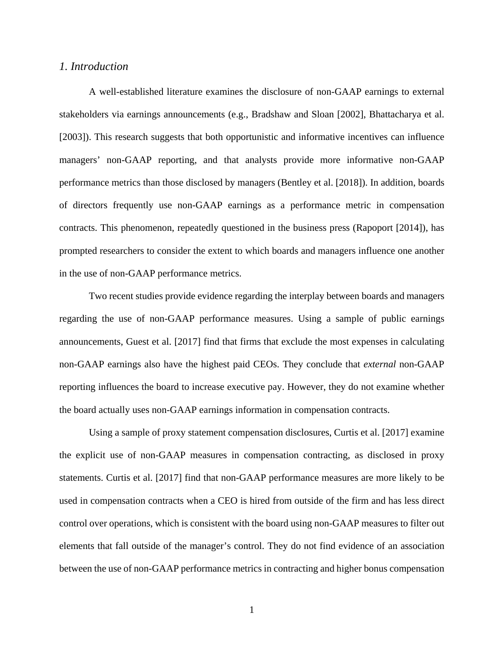#### *1. Introduction*

 A well-established literature examines the disclosure of non-GAAP earnings to external stakeholders via earnings announcements (e.g., Bradshaw and Sloan [2002], Bhattacharya et al. [2003]). This research suggests that both opportunistic and informative incentives can influence managers' non-GAAP reporting, and that analysts provide more informative non-GAAP performance metrics than those disclosed by managers (Bentley et al. [2018]). In addition, boards of directors frequently use non-GAAP earnings as a performance metric in compensation contracts. This phenomenon, repeatedly questioned in the business press (Rapoport [2014]), has prompted researchers to consider the extent to which boards and managers influence one another in the use of non-GAAP performance metrics.

 Two recent studies provide evidence regarding the interplay between boards and managers regarding the use of non-GAAP performance measures. Using a sample of public earnings announcements, Guest et al. [2017] find that firms that exclude the most expenses in calculating non-GAAP earnings also have the highest paid CEOs. They conclude that *external* non-GAAP reporting influences the board to increase executive pay. However, they do not examine whether the board actually uses non-GAAP earnings information in compensation contracts.

 Using a sample of proxy statement compensation disclosures, Curtis et al. [2017] examine the explicit use of non-GAAP measures in compensation contracting, as disclosed in proxy statements. Curtis et al. [2017] find that non-GAAP performance measures are more likely to be used in compensation contracts when a CEO is hired from outside of the firm and has less direct control over operations, which is consistent with the board using non-GAAP measures to filter out elements that fall outside of the manager's control. They do not find evidence of an association between the use of non-GAAP performance metrics in contracting and higher bonus compensation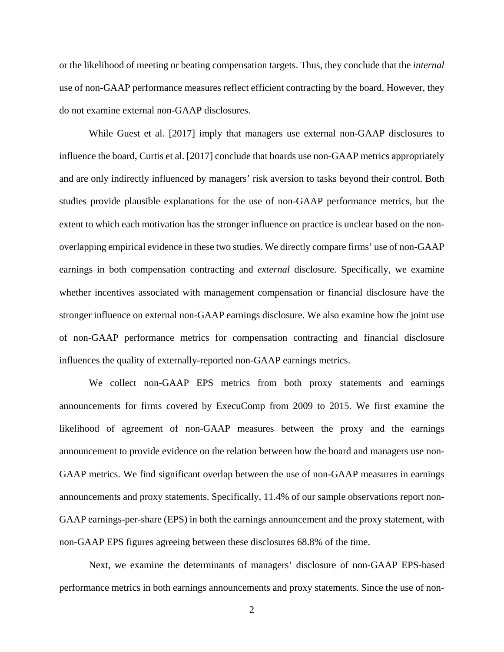or the likelihood of meeting or beating compensation targets. Thus, they conclude that the *internal* use of non-GAAP performance measures reflect efficient contracting by the board. However, they do not examine external non-GAAP disclosures.

 While Guest et al. [2017] imply that managers use external non-GAAP disclosures to influence the board, Curtis et al. [2017] conclude that boards use non-GAAP metrics appropriately and are only indirectly influenced by managers' risk aversion to tasks beyond their control. Both studies provide plausible explanations for the use of non-GAAP performance metrics, but the extent to which each motivation has the stronger influence on practice is unclear based on the nonoverlapping empirical evidence in these two studies. We directly compare firms' use of non-GAAP earnings in both compensation contracting and *external* disclosure. Specifically, we examine whether incentives associated with management compensation or financial disclosure have the stronger influence on external non-GAAP earnings disclosure. We also examine how the joint use of non-GAAP performance metrics for compensation contracting and financial disclosure influences the quality of externally-reported non-GAAP earnings metrics.

 We collect non-GAAP EPS metrics from both proxy statements and earnings announcements for firms covered by ExecuComp from 2009 to 2015. We first examine the likelihood of agreement of non-GAAP measures between the proxy and the earnings announcement to provide evidence on the relation between how the board and managers use non-GAAP metrics. We find significant overlap between the use of non-GAAP measures in earnings announcements and proxy statements. Specifically, 11.4% of our sample observations report non-GAAP earnings-per-share (EPS) in both the earnings announcement and the proxy statement, with non-GAAP EPS figures agreeing between these disclosures 68.8% of the time.

Next, we examine the determinants of managers' disclosure of non-GAAP EPS-based performance metrics in both earnings announcements and proxy statements. Since the use of non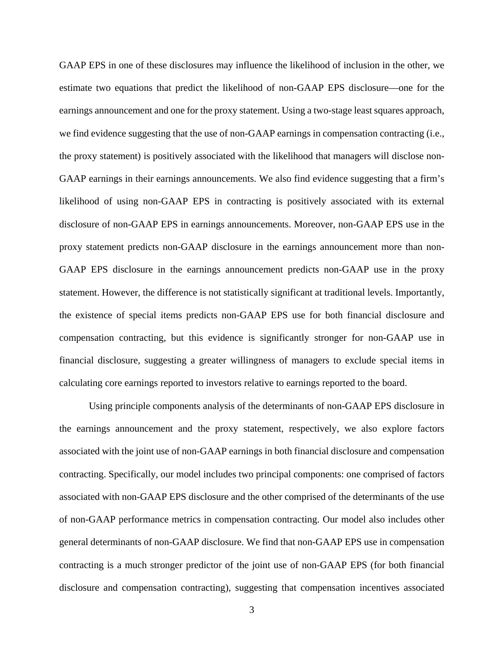GAAP EPS in one of these disclosures may influence the likelihood of inclusion in the other, we estimate two equations that predict the likelihood of non-GAAP EPS disclosure—one for the earnings announcement and one for the proxy statement. Using a two-stage least squares approach, we find evidence suggesting that the use of non-GAAP earnings in compensation contracting (i.e., the proxy statement) is positively associated with the likelihood that managers will disclose non-GAAP earnings in their earnings announcements. We also find evidence suggesting that a firm's likelihood of using non-GAAP EPS in contracting is positively associated with its external disclosure of non-GAAP EPS in earnings announcements. Moreover, non-GAAP EPS use in the proxy statement predicts non-GAAP disclosure in the earnings announcement more than non-GAAP EPS disclosure in the earnings announcement predicts non-GAAP use in the proxy statement. However, the difference is not statistically significant at traditional levels. Importantly, the existence of special items predicts non-GAAP EPS use for both financial disclosure and compensation contracting, but this evidence is significantly stronger for non-GAAP use in financial disclosure, suggesting a greater willingness of managers to exclude special items in calculating core earnings reported to investors relative to earnings reported to the board.

 Using principle components analysis of the determinants of non-GAAP EPS disclosure in the earnings announcement and the proxy statement, respectively, we also explore factors associated with the joint use of non-GAAP earnings in both financial disclosure and compensation contracting. Specifically, our model includes two principal components: one comprised of factors associated with non-GAAP EPS disclosure and the other comprised of the determinants of the use of non-GAAP performance metrics in compensation contracting. Our model also includes other general determinants of non-GAAP disclosure. We find that non-GAAP EPS use in compensation contracting is a much stronger predictor of the joint use of non-GAAP EPS (for both financial disclosure and compensation contracting), suggesting that compensation incentives associated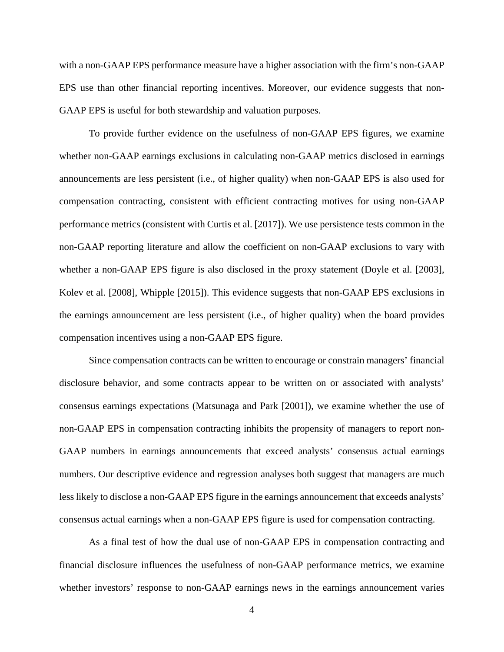with a non-GAAP EPS performance measure have a higher association with the firm's non-GAAP EPS use than other financial reporting incentives. Moreover, our evidence suggests that non-GAAP EPS is useful for both stewardship and valuation purposes.

 To provide further evidence on the usefulness of non-GAAP EPS figures, we examine whether non-GAAP earnings exclusions in calculating non-GAAP metrics disclosed in earnings announcements are less persistent (i.e., of higher quality) when non-GAAP EPS is also used for compensation contracting, consistent with efficient contracting motives for using non-GAAP performance metrics (consistent with Curtis et al. [2017]). We use persistence tests common in the non-GAAP reporting literature and allow the coefficient on non-GAAP exclusions to vary with whether a non-GAAP EPS figure is also disclosed in the proxy statement (Doyle et al. [2003], Kolev et al. [2008], Whipple [2015]). This evidence suggests that non-GAAP EPS exclusions in the earnings announcement are less persistent (i.e., of higher quality) when the board provides compensation incentives using a non-GAAP EPS figure.

 Since compensation contracts can be written to encourage or constrain managers' financial disclosure behavior, and some contracts appear to be written on or associated with analysts' consensus earnings expectations (Matsunaga and Park [2001]), we examine whether the use of non-GAAP EPS in compensation contracting inhibits the propensity of managers to report non-GAAP numbers in earnings announcements that exceed analysts' consensus actual earnings numbers. Our descriptive evidence and regression analyses both suggest that managers are much less likely to disclose a non-GAAP EPS figure in the earnings announcement that exceeds analysts' consensus actual earnings when a non-GAAP EPS figure is used for compensation contracting.

 As a final test of how the dual use of non-GAAP EPS in compensation contracting and financial disclosure influences the usefulness of non-GAAP performance metrics, we examine whether investors' response to non-GAAP earnings news in the earnings announcement varies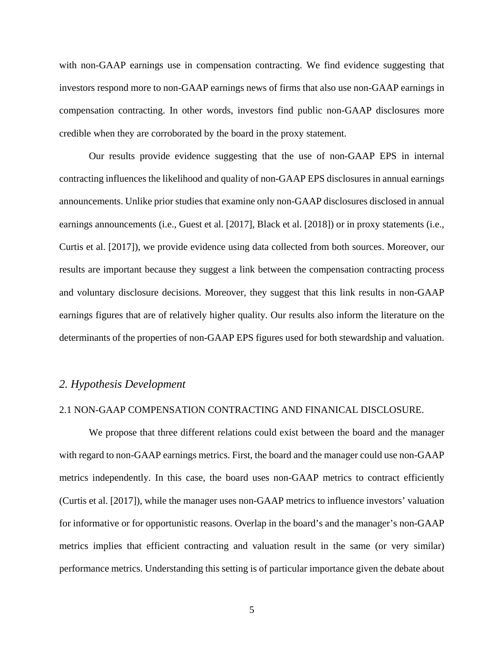with non-GAAP earnings use in compensation contracting. We find evidence suggesting that investors respond more to non-GAAP earnings news of firms that also use non-GAAP earnings in compensation contracting. In other words, investors find public non-GAAP disclosures more credible when they are corroborated by the board in the proxy statement.

 Our results provide evidence suggesting that the use of non-GAAP EPS in internal contracting influences the likelihood and quality of non-GAAP EPS disclosures in annual earnings announcements. Unlike prior studies that examine only non-GAAP disclosures disclosed in annual earnings announcements (i.e., Guest et al. [2017], Black et al. [2018]) or in proxy statements (i.e., Curtis et al. [2017]), we provide evidence using data collected from both sources. Moreover, our results are important because they suggest a link between the compensation contracting process and voluntary disclosure decisions. Moreover, they suggest that this link results in non-GAAP earnings figures that are of relatively higher quality. Our results also inform the literature on the determinants of the properties of non-GAAP EPS figures used for both stewardship and valuation.

#### *2. Hypothesis Development*

#### 2.1 NON-GAAP COMPENSATION CONTRACTING AND FINANICAL DISCLOSURE.

We propose that three different relations could exist between the board and the manager with regard to non-GAAP earnings metrics. First, the board and the manager could use non-GAAP metrics independently. In this case, the board uses non-GAAP metrics to contract efficiently (Curtis et al. [2017]), while the manager uses non-GAAP metrics to influence investors' valuation for informative or for opportunistic reasons. Overlap in the board's and the manager's non-GAAP metrics implies that efficient contracting and valuation result in the same (or very similar) performance metrics. Understanding this setting is of particular importance given the debate about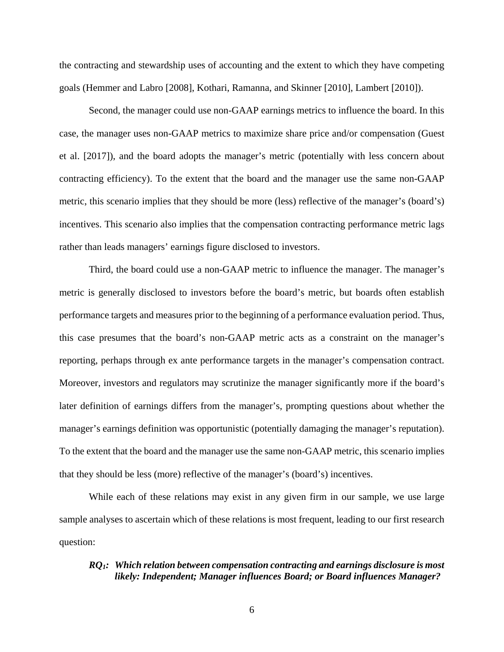the contracting and stewardship uses of accounting and the extent to which they have competing goals (Hemmer and Labro [2008], Kothari, Ramanna, and Skinner [2010], Lambert [2010]).

 Second, the manager could use non-GAAP earnings metrics to influence the board. In this case, the manager uses non-GAAP metrics to maximize share price and/or compensation (Guest et al. [2017]), and the board adopts the manager's metric (potentially with less concern about contracting efficiency). To the extent that the board and the manager use the same non-GAAP metric, this scenario implies that they should be more (less) reflective of the manager's (board's) incentives. This scenario also implies that the compensation contracting performance metric lags rather than leads managers' earnings figure disclosed to investors.

 Third, the board could use a non-GAAP metric to influence the manager. The manager's metric is generally disclosed to investors before the board's metric, but boards often establish performance targets and measures prior to the beginning of a performance evaluation period. Thus, this case presumes that the board's non-GAAP metric acts as a constraint on the manager's reporting, perhaps through ex ante performance targets in the manager's compensation contract. Moreover, investors and regulators may scrutinize the manager significantly more if the board's later definition of earnings differs from the manager's, prompting questions about whether the manager's earnings definition was opportunistic (potentially damaging the manager's reputation). To the extent that the board and the manager use the same non-GAAP metric, this scenario implies that they should be less (more) reflective of the manager's (board's) incentives.

 While each of these relations may exist in any given firm in our sample, we use large sample analyses to ascertain which of these relations is most frequent, leading to our first research question:

## *RQ1: Which relation between compensation contracting and earnings disclosure is most likely: Independent; Manager influences Board; or Board influences Manager?*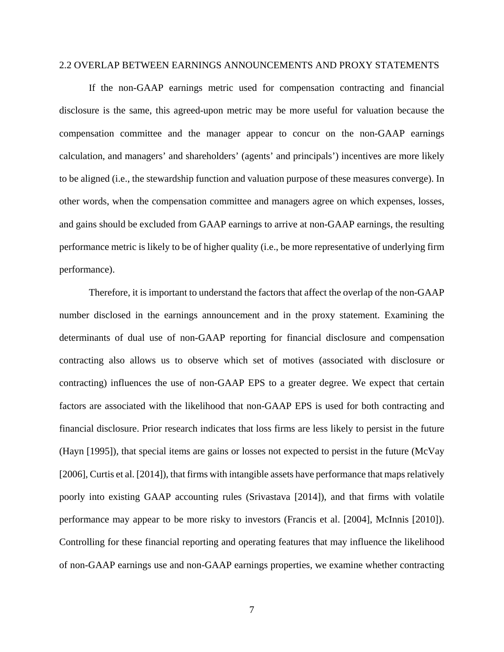#### 2.2 OVERLAP BETWEEN EARNINGS ANNOUNCEMENTS AND PROXY STATEMENTS

If the non-GAAP earnings metric used for compensation contracting and financial disclosure is the same, this agreed-upon metric may be more useful for valuation because the compensation committee and the manager appear to concur on the non-GAAP earnings calculation, and managers' and shareholders' (agents' and principals') incentives are more likely to be aligned (i.e., the stewardship function and valuation purpose of these measures converge). In other words, when the compensation committee and managers agree on which expenses, losses, and gains should be excluded from GAAP earnings to arrive at non-GAAP earnings, the resulting performance metric is likely to be of higher quality (i.e., be more representative of underlying firm performance).

Therefore, it is important to understand the factors that affect the overlap of the non-GAAP number disclosed in the earnings announcement and in the proxy statement. Examining the determinants of dual use of non-GAAP reporting for financial disclosure and compensation contracting also allows us to observe which set of motives (associated with disclosure or contracting) influences the use of non-GAAP EPS to a greater degree. We expect that certain factors are associated with the likelihood that non-GAAP EPS is used for both contracting and financial disclosure. Prior research indicates that loss firms are less likely to persist in the future (Hayn [1995]), that special items are gains or losses not expected to persist in the future (McVay [2006], Curtis et al. [2014]), that firms with intangible assets have performance that maps relatively poorly into existing GAAP accounting rules (Srivastava [2014]), and that firms with volatile performance may appear to be more risky to investors (Francis et al. [2004], McInnis [2010]). Controlling for these financial reporting and operating features that may influence the likelihood of non-GAAP earnings use and non-GAAP earnings properties, we examine whether contracting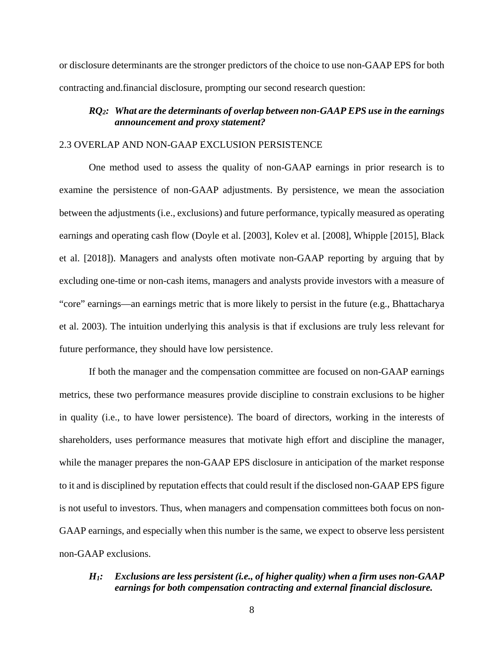or disclosure determinants are the stronger predictors of the choice to use non-GAAP EPS for both contracting and.financial disclosure, prompting our second research question:

## *RQ2: What are the determinants of overlap between non-GAAP EPS use in the earnings announcement and proxy statement?*

#### 2.3 OVERLAP AND NON-GAAP EXCLUSION PERSISTENCE

One method used to assess the quality of non-GAAP earnings in prior research is to examine the persistence of non-GAAP adjustments. By persistence, we mean the association between the adjustments (i.e., exclusions) and future performance, typically measured as operating earnings and operating cash flow (Doyle et al. [2003], Kolev et al. [2008], Whipple [2015], Black et al. [2018]). Managers and analysts often motivate non-GAAP reporting by arguing that by excluding one-time or non-cash items, managers and analysts provide investors with a measure of "core" earnings—an earnings metric that is more likely to persist in the future (e.g., Bhattacharya et al. 2003). The intuition underlying this analysis is that if exclusions are truly less relevant for future performance, they should have low persistence.

If both the manager and the compensation committee are focused on non-GAAP earnings metrics, these two performance measures provide discipline to constrain exclusions to be higher in quality (i.e., to have lower persistence). The board of directors, working in the interests of shareholders, uses performance measures that motivate high effort and discipline the manager, while the manager prepares the non-GAAP EPS disclosure in anticipation of the market response to it and is disciplined by reputation effects that could result if the disclosed non-GAAP EPS figure is not useful to investors. Thus, when managers and compensation committees both focus on non-GAAP earnings, and especially when this number is the same, we expect to observe less persistent non-GAAP exclusions.

### *H1: Exclusions are less persistent (i.e., of higher quality) when a firm uses non-GAAP earnings for both compensation contracting and external financial disclosure.*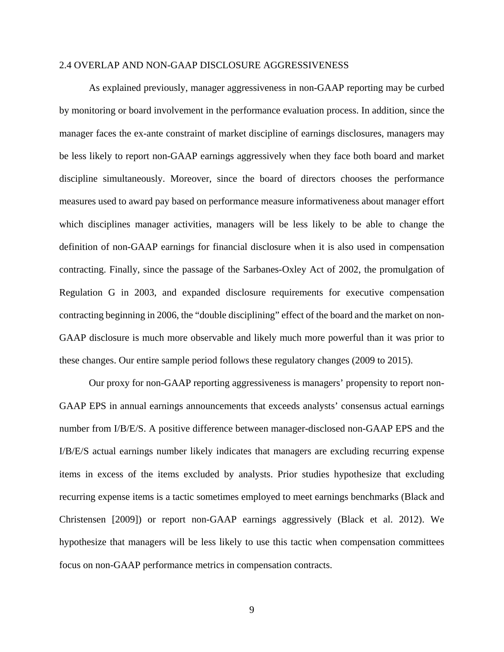#### 2.4 OVERLAP AND NON-GAAP DISCLOSURE AGGRESSIVENESS

 As explained previously, manager aggressiveness in non-GAAP reporting may be curbed by monitoring or board involvement in the performance evaluation process. In addition, since the manager faces the ex-ante constraint of market discipline of earnings disclosures, managers may be less likely to report non-GAAP earnings aggressively when they face both board and market discipline simultaneously. Moreover, since the board of directors chooses the performance measures used to award pay based on performance measure informativeness about manager effort which disciplines manager activities, managers will be less likely to be able to change the definition of non-GAAP earnings for financial disclosure when it is also used in compensation contracting. Finally, since the passage of the Sarbanes-Oxley Act of 2002, the promulgation of Regulation G in 2003, and expanded disclosure requirements for executive compensation contracting beginning in 2006, the "double disciplining" effect of the board and the market on non-GAAP disclosure is much more observable and likely much more powerful than it was prior to these changes. Our entire sample period follows these regulatory changes (2009 to 2015).

 Our proxy for non-GAAP reporting aggressiveness is managers' propensity to report non-GAAP EPS in annual earnings announcements that exceeds analysts' consensus actual earnings number from I/B/E/S. A positive difference between manager-disclosed non-GAAP EPS and the I/B/E/S actual earnings number likely indicates that managers are excluding recurring expense items in excess of the items excluded by analysts. Prior studies hypothesize that excluding recurring expense items is a tactic sometimes employed to meet earnings benchmarks (Black and Christensen [2009]) or report non-GAAP earnings aggressively (Black et al. 2012). We hypothesize that managers will be less likely to use this tactic when compensation committees focus on non-GAAP performance metrics in compensation contracts.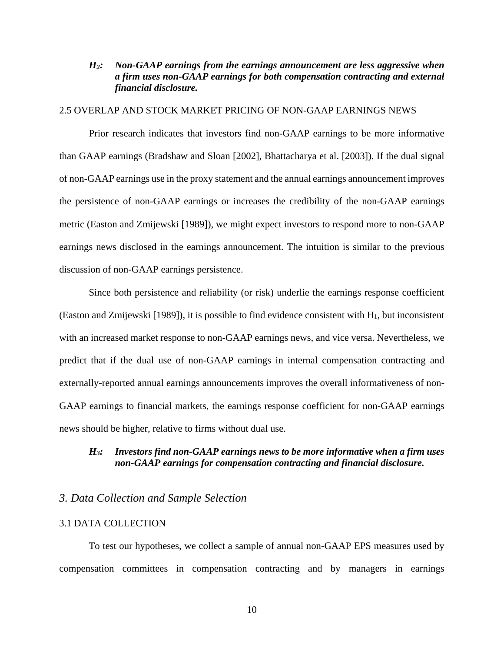## *H2: Non-GAAP earnings from the earnings announcement are less aggressive when a firm uses non-GAAP earnings for both compensation contracting and external financial disclosure.*

### 2.5 OVERLAP AND STOCK MARKET PRICING OF NON-GAAP EARNINGS NEWS

Prior research indicates that investors find non-GAAP earnings to be more informative than GAAP earnings (Bradshaw and Sloan [2002], Bhattacharya et al. [2003]). If the dual signal of non-GAAP earnings use in the proxy statement and the annual earnings announcement improves the persistence of non-GAAP earnings or increases the credibility of the non-GAAP earnings metric (Easton and Zmijewski [1989]), we might expect investors to respond more to non-GAAP earnings news disclosed in the earnings announcement. The intuition is similar to the previous discussion of non-GAAP earnings persistence.

Since both persistence and reliability (or risk) underlie the earnings response coefficient (Easton and Zmijewski [1989]), it is possible to find evidence consistent with H1, but inconsistent with an increased market response to non-GAAP earnings news, and vice versa. Nevertheless, we predict that if the dual use of non-GAAP earnings in internal compensation contracting and externally-reported annual earnings announcements improves the overall informativeness of non-GAAP earnings to financial markets, the earnings response coefficient for non-GAAP earnings news should be higher, relative to firms without dual use.

## *H3: Investors find non-GAAP earnings news to be more informative when a firm uses non-GAAP earnings for compensation contracting and financial disclosure.*

#### *3. Data Collection and Sample Selection*

#### 3.1 DATA COLLECTION

 To test our hypotheses, we collect a sample of annual non-GAAP EPS measures used by compensation committees in compensation contracting and by managers in earnings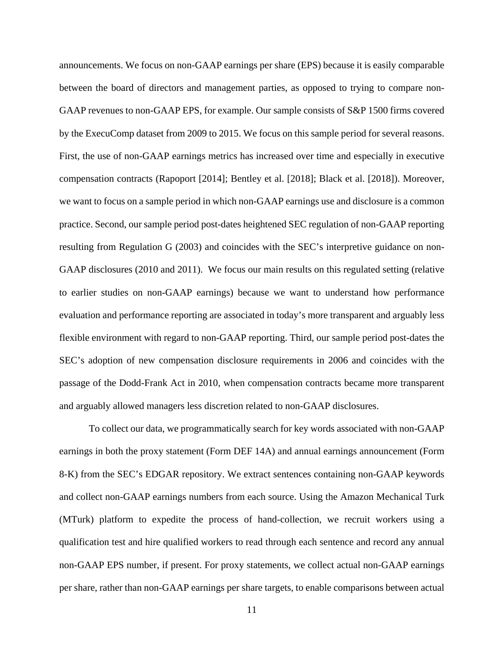announcements. We focus on non-GAAP earnings per share (EPS) because it is easily comparable between the board of directors and management parties, as opposed to trying to compare non-GAAP revenues to non-GAAP EPS, for example. Our sample consists of S&P 1500 firms covered by the ExecuComp dataset from 2009 to 2015. We focus on this sample period for several reasons. First, the use of non-GAAP earnings metrics has increased over time and especially in executive compensation contracts (Rapoport [2014]; Bentley et al. [2018]; Black et al. [2018]). Moreover, we want to focus on a sample period in which non-GAAP earnings use and disclosure is a common practice. Second, our sample period post-dates heightened SEC regulation of non-GAAP reporting resulting from Regulation G (2003) and coincides with the SEC's interpretive guidance on non-GAAP disclosures (2010 and 2011). We focus our main results on this regulated setting (relative to earlier studies on non-GAAP earnings) because we want to understand how performance evaluation and performance reporting are associated in today's more transparent and arguably less flexible environment with regard to non-GAAP reporting. Third, our sample period post-dates the SEC's adoption of new compensation disclosure requirements in 2006 and coincides with the passage of the Dodd-Frank Act in 2010, when compensation contracts became more transparent and arguably allowed managers less discretion related to non-GAAP disclosures.

 To collect our data, we programmatically search for key words associated with non-GAAP earnings in both the proxy statement (Form DEF 14A) and annual earnings announcement (Form 8-K) from the SEC's EDGAR repository. We extract sentences containing non-GAAP keywords and collect non-GAAP earnings numbers from each source. Using the Amazon Mechanical Turk (MTurk) platform to expedite the process of hand-collection, we recruit workers using a qualification test and hire qualified workers to read through each sentence and record any annual non-GAAP EPS number, if present. For proxy statements, we collect actual non-GAAP earnings per share, rather than non-GAAP earnings per share targets, to enable comparisons between actual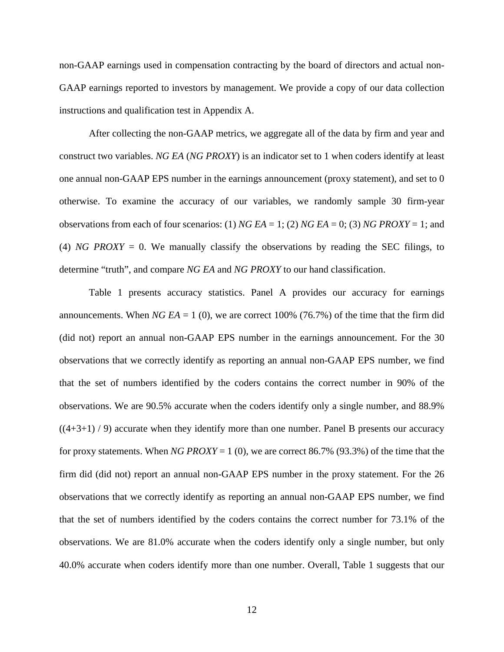non-GAAP earnings used in compensation contracting by the board of directors and actual non-GAAP earnings reported to investors by management. We provide a copy of our data collection instructions and qualification test in Appendix A.

 After collecting the non-GAAP metrics, we aggregate all of the data by firm and year and construct two variables. *NG EA* (*NG PROXY*) is an indicator set to 1 when coders identify at least one annual non-GAAP EPS number in the earnings announcement (proxy statement), and set to 0 otherwise. To examine the accuracy of our variables, we randomly sample 30 firm-year observations from each of four scenarios: (1) *NG EA* = 1; (2) *NG EA* = 0; (3) *NG PROXY* = 1; and (4) *NG PROXY* = 0. We manually classify the observations by reading the SEC filings, to determine "truth", and compare *NG EA* and *NG PROXY* to our hand classification.

 Table 1 presents accuracy statistics. Panel A provides our accuracy for earnings announcements. When  $NGEA = 1$  (0), we are correct 100% (76.7%) of the time that the firm did (did not) report an annual non-GAAP EPS number in the earnings announcement. For the 30 observations that we correctly identify as reporting an annual non-GAAP EPS number, we find that the set of numbers identified by the coders contains the correct number in 90% of the observations. We are 90.5% accurate when the coders identify only a single number, and 88.9%  $((4+3+1)/9)$  accurate when they identify more than one number. Panel B presents our accuracy for proxy statements. When *NG PROXY* = 1 (0), we are correct 86.7% (93.3%) of the time that the firm did (did not) report an annual non-GAAP EPS number in the proxy statement. For the 26 observations that we correctly identify as reporting an annual non-GAAP EPS number, we find that the set of numbers identified by the coders contains the correct number for 73.1% of the observations. We are 81.0% accurate when the coders identify only a single number, but only 40.0% accurate when coders identify more than one number. Overall, Table 1 suggests that our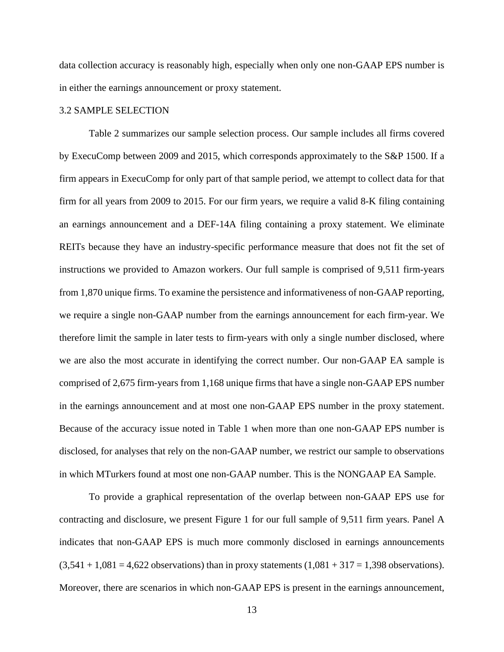data collection accuracy is reasonably high, especially when only one non-GAAP EPS number is in either the earnings announcement or proxy statement.

### 3.2 SAMPLE SELECTION

Table 2 summarizes our sample selection process. Our sample includes all firms covered by ExecuComp between 2009 and 2015, which corresponds approximately to the S&P 1500. If a firm appears in ExecuComp for only part of that sample period, we attempt to collect data for that firm for all years from 2009 to 2015. For our firm years, we require a valid 8-K filing containing an earnings announcement and a DEF-14A filing containing a proxy statement. We eliminate REITs because they have an industry-specific performance measure that does not fit the set of instructions we provided to Amazon workers. Our full sample is comprised of 9,511 firm-years from 1,870 unique firms. To examine the persistence and informativeness of non-GAAP reporting, we require a single non-GAAP number from the earnings announcement for each firm-year. We therefore limit the sample in later tests to firm-years with only a single number disclosed, where we are also the most accurate in identifying the correct number. Our non-GAAP EA sample is comprised of 2,675 firm-years from 1,168 unique firms that have a single non-GAAP EPS number in the earnings announcement and at most one non-GAAP EPS number in the proxy statement. Because of the accuracy issue noted in Table 1 when more than one non-GAAP EPS number is disclosed, for analyses that rely on the non-GAAP number, we restrict our sample to observations in which MTurkers found at most one non-GAAP number. This is the NONGAAP EA Sample.

 To provide a graphical representation of the overlap between non-GAAP EPS use for contracting and disclosure, we present Figure 1 for our full sample of 9,511 firm years. Panel A indicates that non-GAAP EPS is much more commonly disclosed in earnings announcements  $(3,541 + 1,081 = 4,622$  observations) than in proxy statements  $(1,081 + 317 = 1,398$  observations). Moreover, there are scenarios in which non-GAAP EPS is present in the earnings announcement,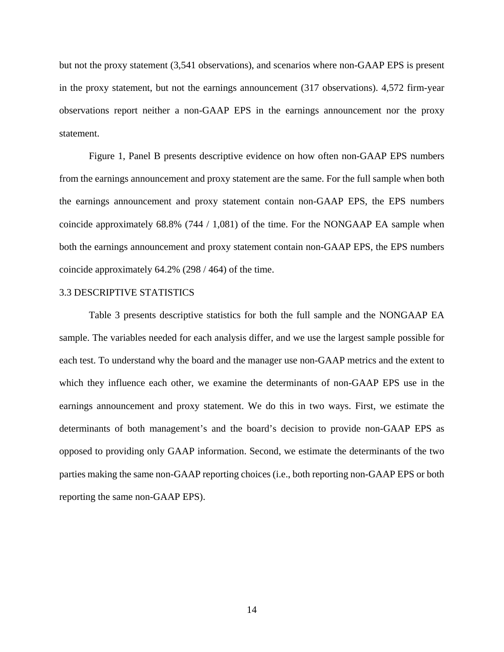but not the proxy statement (3,541 observations), and scenarios where non-GAAP EPS is present in the proxy statement, but not the earnings announcement (317 observations). 4,572 firm-year observations report neither a non-GAAP EPS in the earnings announcement nor the proxy statement.

 Figure 1, Panel B presents descriptive evidence on how often non-GAAP EPS numbers from the earnings announcement and proxy statement are the same. For the full sample when both the earnings announcement and proxy statement contain non-GAAP EPS, the EPS numbers coincide approximately 68.8% (744 / 1,081) of the time. For the NONGAAP EA sample when both the earnings announcement and proxy statement contain non-GAAP EPS, the EPS numbers coincide approximately 64.2% (298 / 464) of the time.

#### 3.3 DESCRIPTIVE STATISTICS

Table 3 presents descriptive statistics for both the full sample and the NONGAAP EA sample. The variables needed for each analysis differ, and we use the largest sample possible for each test. To understand why the board and the manager use non-GAAP metrics and the extent to which they influence each other, we examine the determinants of non-GAAP EPS use in the earnings announcement and proxy statement. We do this in two ways. First, we estimate the determinants of both management's and the board's decision to provide non-GAAP EPS as opposed to providing only GAAP information. Second, we estimate the determinants of the two parties making the same non-GAAP reporting choices (i.e., both reporting non-GAAP EPS or both reporting the same non-GAAP EPS).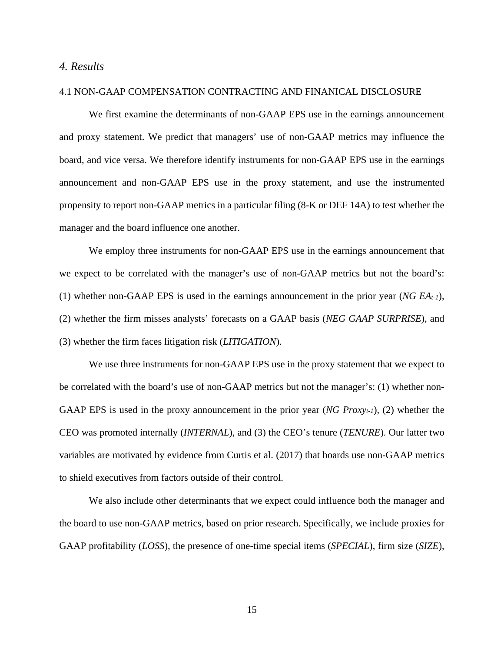### *4. Results*

#### 4.1 NON-GAAP COMPENSATION CONTRACTING AND FINANICAL DISCLOSURE

We first examine the determinants of non-GAAP EPS use in the earnings announcement and proxy statement. We predict that managers' use of non-GAAP metrics may influence the board, and vice versa. We therefore identify instruments for non-GAAP EPS use in the earnings announcement and non-GAAP EPS use in the proxy statement, and use the instrumented propensity to report non-GAAP metrics in a particular filing (8-K or DEF 14A) to test whether the manager and the board influence one another.

We employ three instruments for non-GAAP EPS use in the earnings announcement that we expect to be correlated with the manager's use of non-GAAP metrics but not the board's: (1) whether non-GAAP EPS is used in the earnings announcement in the prior year (*NG EAt-1*), (2) whether the firm misses analysts' forecasts on a GAAP basis (*NEG GAAP SURPRISE*), and (3) whether the firm faces litigation risk (*LITIGATION*).

We use three instruments for non-GAAP EPS use in the proxy statement that we expect to be correlated with the board's use of non-GAAP metrics but not the manager's: (1) whether non-GAAP EPS is used in the proxy announcement in the prior year (*NG Proxyt-1*), (2) whether the CEO was promoted internally (*INTERNAL*), and (3) the CEO's tenure (*TENURE*). Our latter two variables are motivated by evidence from Curtis et al. (2017) that boards use non-GAAP metrics to shield executives from factors outside of their control.

We also include other determinants that we expect could influence both the manager and the board to use non-GAAP metrics, based on prior research. Specifically, we include proxies for GAAP profitability (*LOSS*), the presence of one-time special items (*SPECIAL*), firm size (*SIZE*),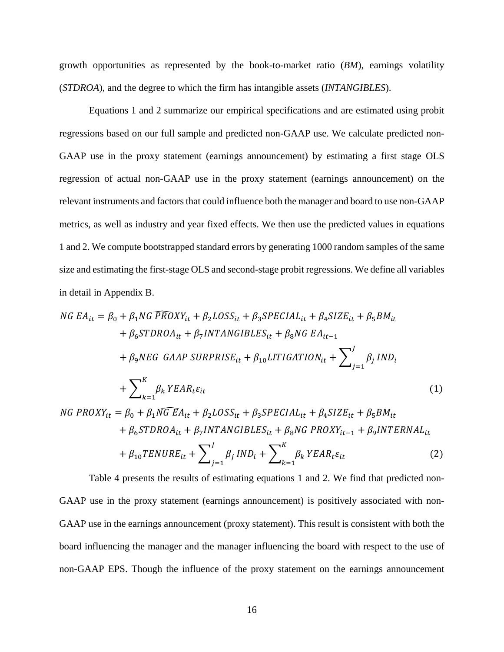growth opportunities as represented by the book-to-market ratio (*BM*), earnings volatility (*STDROA*), and the degree to which the firm has intangible assets (*INTANGIBLES*).

Equations 1 and 2 summarize our empirical specifications and are estimated using probit regressions based on our full sample and predicted non-GAAP use. We calculate predicted non-GAAP use in the proxy statement (earnings announcement) by estimating a first stage OLS regression of actual non-GAAP use in the proxy statement (earnings announcement) on the relevant instruments and factors that could influence both the manager and board to use non-GAAP metrics, as well as industry and year fixed effects. We then use the predicted values in equations 1 and 2. We compute bootstrapped standard errors by generating 1000 random samples of the same size and estimating the first-stage OLS and second-stage probit regressions. We define all variables in detail in Appendix B.

$$
NG EA_{it} = \beta_0 + \beta_1 NG FROXY_{it} + \beta_2 LOSS_{it} + \beta_3 SPECIAL_{it} + \beta_4 SIZE_{it} + \beta_5 BM_{it}
$$
  
+  $\beta_6 STDROA_{it} + \beta_7 INTAN GIBLES_{it} + \beta_8 NG EA_{it-1}$   
+  $\beta_9 NEG GAAP SURPRISE_{it} + \beta_{10} LITIGATION_{it} + \sum_{j=1}^{J} \beta_j IND_i$   
+  $\sum_{k=1}^{K} \beta_k YEAR_t \varepsilon_{it}$  (1)  
NG PROXY<sub>it</sub> =  $\beta_0 + \beta_1 NGEA_{it} + \beta_2 LOSS_{it} + \beta_3 SPECIAL_{it} + \beta_4 SIZE_{it} + \beta_5 BM_{it}$   
+  $\beta_6 STDROA_{it} + \beta_7 INTAN GIBLES_{it} + \beta_8 NG PROXY_{it-1} + \beta_9 INTERNAL_{it}$ 

$$
+\beta_{10}TENURE_{it} + \sum_{j=1} \beta_j IND_i + \sum_{k=1} \beta_k YEAR_t \varepsilon_{it}
$$
 (2)  
Table 4 presents the results of estimating equations 1 and 2. We find that predicted non-  
GAAP use in the proxy statement (earnings announcement) is positively associated with non-  
GAAP use in the earnings announcement (proxy statement). This result is consistent with both the  
board influencing the manager and the manager influencing the board with respect to the use of  
non-GAAP EPS. Though the influence of the proxy statement on the earnings announcement

 $+ \beta_{10} TENURE_{it} + \sum \beta_{ij}$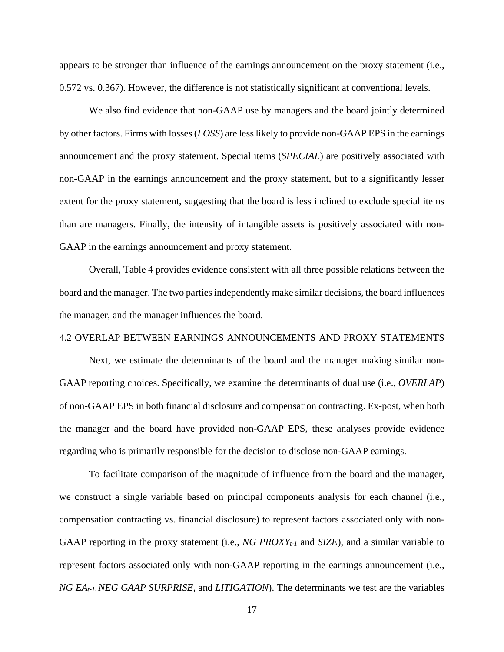appears to be stronger than influence of the earnings announcement on the proxy statement (i.e., 0.572 vs. 0.367). However, the difference is not statistically significant at conventional levels.

 We also find evidence that non-GAAP use by managers and the board jointly determined by other factors. Firms with losses (*LOSS*) are less likely to provide non-GAAP EPS in the earnings announcement and the proxy statement. Special items (*SPECIAL*) are positively associated with non-GAAP in the earnings announcement and the proxy statement, but to a significantly lesser extent for the proxy statement, suggesting that the board is less inclined to exclude special items than are managers. Finally, the intensity of intangible assets is positively associated with non-GAAP in the earnings announcement and proxy statement.

 Overall, Table 4 provides evidence consistent with all three possible relations between the board and the manager. The two parties independently make similar decisions, the board influences the manager, and the manager influences the board.

#### 4.2 OVERLAP BETWEEN EARNINGS ANNOUNCEMENTS AND PROXY STATEMENTS

 Next, we estimate the determinants of the board and the manager making similar non-GAAP reporting choices. Specifically, we examine the determinants of dual use (i.e., *OVERLAP*) of non-GAAP EPS in both financial disclosure and compensation contracting. Ex-post, when both the manager and the board have provided non-GAAP EPS, these analyses provide evidence regarding who is primarily responsible for the decision to disclose non-GAAP earnings.

 To facilitate comparison of the magnitude of influence from the board and the manager, we construct a single variable based on principal components analysis for each channel (i.e., compensation contracting vs. financial disclosure) to represent factors associated only with non-GAAP reporting in the proxy statement (i.e., *NG PROXYt-1* and *SIZE*), and a similar variable to represent factors associated only with non-GAAP reporting in the earnings announcement (i.e., *NG EAt-1*, *NEG GAAP SURPRISE*, and *LITIGATION*). The determinants we test are the variables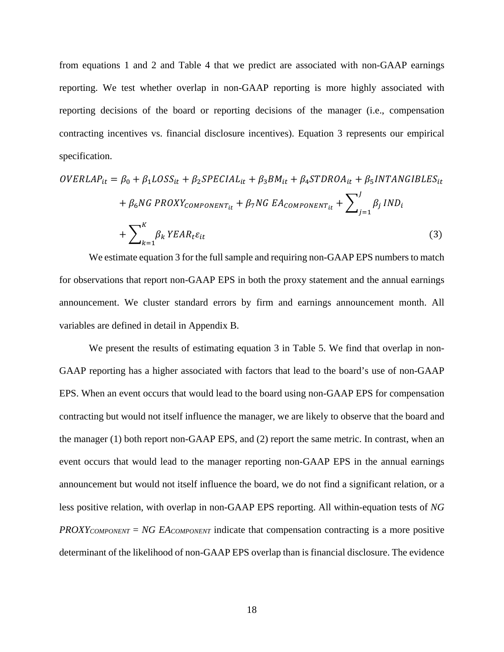from equations 1 and 2 and Table 4 that we predict are associated with non-GAAP earnings reporting. We test whether overlap in non-GAAP reporting is more highly associated with reporting decisions of the board or reporting decisions of the manager (i.e., compensation contracting incentives vs. financial disclosure incentives). Equation 3 represents our empirical specification.

$$
OVERLAP_{it} = \beta_0 + \beta_1 LOSS_{it} + \beta_2 SPECIAL_{it} + \beta_3 BM_{it} + \beta_4 STDROA_{it} + \beta_5 INTANGIBLES_{it}
$$
  
+  $\beta_6 NG PROXY_{COMPONENT_{it}} + \beta_7 NG EA_{COMPONENT_{it}} + \sum_{j=1}^{J} \beta_j IND_i$   
+  $\sum_{k=1}^{K} \beta_k YEAR_t \varepsilon_{it}$  (3)

We estimate equation 3 for the full sample and requiring non-GAAP EPS numbers to match for observations that report non-GAAP EPS in both the proxy statement and the annual earnings announcement. We cluster standard errors by firm and earnings announcement month. All variables are defined in detail in Appendix B.

We present the results of estimating equation 3 in Table 5. We find that overlap in non-GAAP reporting has a higher associated with factors that lead to the board's use of non-GAAP EPS. When an event occurs that would lead to the board using non-GAAP EPS for compensation contracting but would not itself influence the manager, we are likely to observe that the board and the manager (1) both report non-GAAP EPS, and (2) report the same metric. In contrast, when an event occurs that would lead to the manager reporting non-GAAP EPS in the annual earnings announcement but would not itself influence the board, we do not find a significant relation, or a less positive relation, with overlap in non-GAAP EPS reporting. All within-equation tests of *NG PROXYCOMPONENT* = *NG EACOMPONENT* indicate that compensation contracting is a more positive determinant of the likelihood of non-GAAP EPS overlap than is financial disclosure. The evidence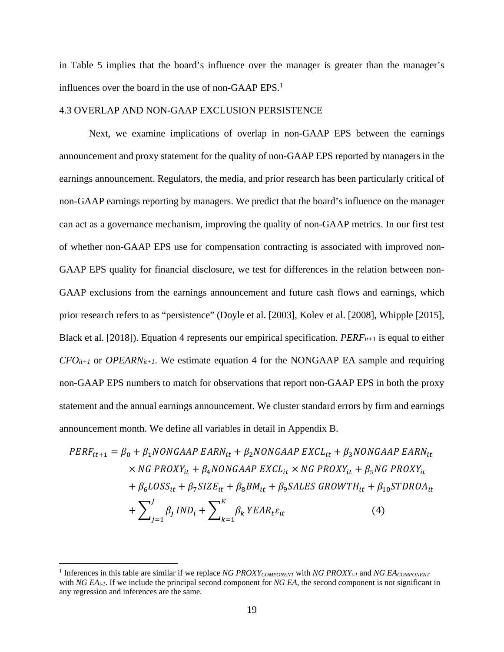in Table 5 implies that the board's influence over the manager is greater than the manager's influences over the board in the use of non-GAAP  $EPS<sup>1</sup>$ .

#### 4.3 OVERLAP AND NON-GAAP EXCLUSION PERSISTENCE

 Next, we examine implications of overlap in non-GAAP EPS between the earnings announcement and proxy statement for the quality of non-GAAP EPS reported by managers in the earnings announcement. Regulators, the media, and prior research has been particularly critical of non-GAAP earnings reporting by managers. We predict that the board's influence on the manager can act as a governance mechanism, improving the quality of non-GAAP metrics. In our first test of whether non-GAAP EPS use for compensation contracting is associated with improved non-GAAP EPS quality for financial disclosure, we test for differences in the relation between non-GAAP exclusions from the earnings announcement and future cash flows and earnings, which prior research refers to as "persistence" (Doyle et al. [2003], Kolev et al. [2008], Whipple [2015], Black et al. [2018]). Equation 4 represents our empirical specification. *PERFit+1* is equal to either  $CFO_{it+1}$  or *OPEARN<sub>it+1</sub>*. We estimate equation 4 for the NONGAAP EA sample and requiring non-GAAP EPS numbers to match for observations that report non-GAAP EPS in both the proxy statement and the annual earnings announcement. We cluster standard errors by firm and earnings announcement month. We define all variables in detail in Appendix B.

$$
PERF_{it+1} = \beta_0 + \beta_1 NONGAAP EARN_{it} + \beta_2 NONGAAP EXCL_{it} + \beta_3 NONGAAP EARN_{it}
$$
  
\n
$$
\times NG PROXY_{it} + \beta_4 NONGAAP EXCL_{it} \times NG PROXY_{it} + \beta_5 NG PROXY_{it}
$$
  
\n
$$
+ \beta_6 LOSS_{it} + \beta_7 SIZE_{it} + \beta_8 BM_{it} + \beta_9 SALES GROWTH_{it} + \beta_{10} STDROA_{it}
$$
  
\n
$$
+ \sum_{j=1}^{J} \beta_j IND_i + \sum_{k=1}^{K} \beta_k YEAR_t \varepsilon_{it}
$$
 (4)

<sup>&</sup>lt;sup>1</sup> Inferences in this table are similar if we replace *NG PROXY<sub>COMPONENT</sub>* with *NG PROXY<sub>t-1</sub>* and *NG EA<sub>COMPONENT</sub>* with *NG EA<sub>t-1</sub>*. If we include the principal second component for *NG EA*, the second component is not significant in any regression and inferences are the same.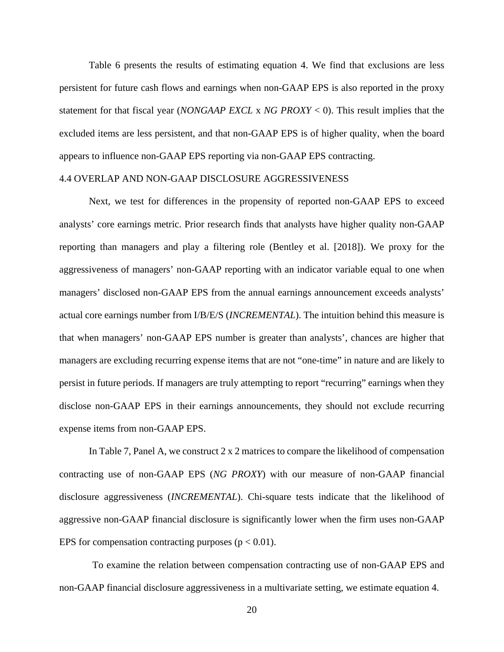Table 6 presents the results of estimating equation 4. We find that exclusions are less persistent for future cash flows and earnings when non-GAAP EPS is also reported in the proxy statement for that fiscal year (*NONGAAP EXCL* x *NG PROXY* < 0). This result implies that the excluded items are less persistent, and that non-GAAP EPS is of higher quality, when the board appears to influence non-GAAP EPS reporting via non-GAAP EPS contracting.

#### 4.4 OVERLAP AND NON-GAAP DISCLOSURE AGGRESSIVENESS

 Next, we test for differences in the propensity of reported non-GAAP EPS to exceed analysts' core earnings metric. Prior research finds that analysts have higher quality non-GAAP reporting than managers and play a filtering role (Bentley et al. [2018]). We proxy for the aggressiveness of managers' non-GAAP reporting with an indicator variable equal to one when managers' disclosed non-GAAP EPS from the annual earnings announcement exceeds analysts' actual core earnings number from I/B/E/S (*INCREMENTAL*). The intuition behind this measure is that when managers' non-GAAP EPS number is greater than analysts', chances are higher that managers are excluding recurring expense items that are not "one-time" in nature and are likely to persist in future periods. If managers are truly attempting to report "recurring" earnings when they disclose non-GAAP EPS in their earnings announcements, they should not exclude recurring expense items from non-GAAP EPS.

In Table 7, Panel A, we construct 2 x 2 matrices to compare the likelihood of compensation contracting use of non-GAAP EPS (*NG PROXY*) with our measure of non-GAAP financial disclosure aggressiveness (*INCREMENTAL*). Chi-square tests indicate that the likelihood of aggressive non-GAAP financial disclosure is significantly lower when the firm uses non-GAAP EPS for compensation contracting purposes ( $p < 0.01$ ).

To examine the relation between compensation contracting use of non-GAAP EPS and non-GAAP financial disclosure aggressiveness in a multivariate setting, we estimate equation 4.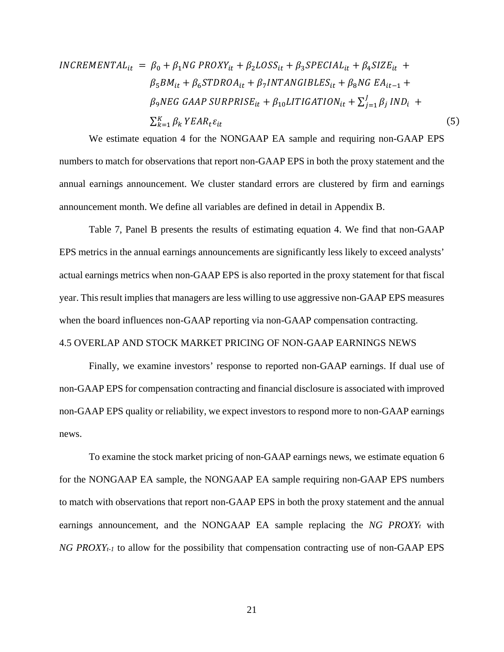$$
INCREMENTAL_{it} = \beta_0 + \beta_1 NG PROXY_{it} + \beta_2 LOSS_{it} + \beta_3 SPECIAL_{it} + \beta_4 SIZE_{it} +
$$
  
\n
$$
\beta_5 BM_{it} + \beta_6 STDROA_{it} + \beta_7 INTANGIBLES_{it} + \beta_8 NG EA_{it-1} +
$$
  
\n
$$
\beta_9 NEG GAAP SURPRISE_{it} + \beta_{10} LITIGATION_{it} + \sum_{j=1}^{J} \beta_j IND_i +
$$
  
\n
$$
\sum_{k=1}^{K} \beta_k YEAR_t \varepsilon_{it}
$$
\n(5)

We estimate equation 4 for the NONGAAP EA sample and requiring non-GAAP EPS numbers to match for observations that report non-GAAP EPS in both the proxy statement and the annual earnings announcement. We cluster standard errors are clustered by firm and earnings announcement month. We define all variables are defined in detail in Appendix B.

Table 7, Panel B presents the results of estimating equation 4. We find that non-GAAP EPS metrics in the annual earnings announcements are significantly less likely to exceed analysts' actual earnings metrics when non-GAAP EPS is also reported in the proxy statement for that fiscal year. This result implies that managers are less willing to use aggressive non-GAAP EPS measures when the board influences non-GAAP reporting via non-GAAP compensation contracting.

#### 4.5 OVERLAP AND STOCK MARKET PRICING OF NON-GAAP EARNINGS NEWS

 Finally, we examine investors' response to reported non-GAAP earnings. If dual use of non-GAAP EPS for compensation contracting and financial disclosure is associated with improved non-GAAP EPS quality or reliability, we expect investors to respond more to non-GAAP earnings news.

To examine the stock market pricing of non-GAAP earnings news, we estimate equation 6 for the NONGAAP EA sample, the NONGAAP EA sample requiring non-GAAP EPS numbers to match with observations that report non-GAAP EPS in both the proxy statement and the annual earnings announcement, and the NONGAAP EA sample replacing the *NG PROXYt* with *NG PROXY<sub>t-1</sub>* to allow for the possibility that compensation contracting use of non-GAAP EPS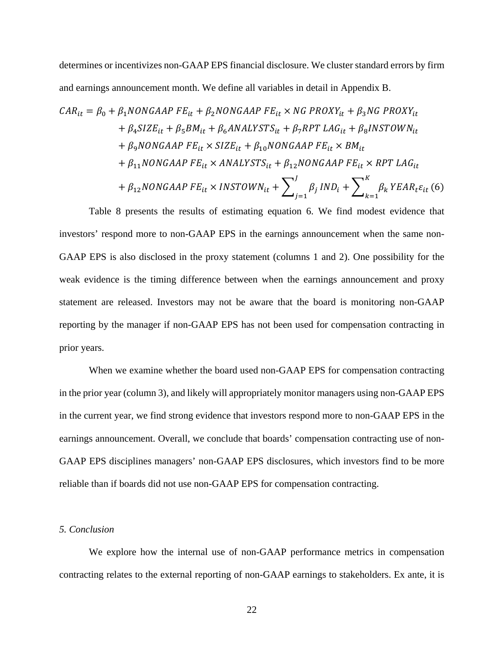determines or incentivizes non-GAAP EPS financial disclosure. We cluster standard errors by firm and earnings announcement month. We define all variables in detail in Appendix B.

$$
CAR_{it} = \beta_0 + \beta_1 NONGAAP FE_{it} + \beta_2 NONGAAP FE_{it} \times NG PROXY_{it} + \beta_3 NG PROXY_{it}
$$
  
+  $\beta_4 SIZE_{it} + \beta_5 BM_{it} + \beta_6 ANALYSTS_{it} + \beta_7 RPT LAG_{it} + \beta_8 INSTOWN_{it}$   
+  $\beta_9 NONGAAP FE_{it} \times SIZE_{it} + \beta_{10} NONGAAP FE_{it} \times BM_{it}$   
+  $\beta_{11} NONGAAP FE_{it} \times ANALYSTS_{it} + \beta_{12} NONGAAP FE_{it} \times RPT LAG_{it}$   
+  $\beta_{12} NONGAAP FE_{it} \times INSTOWN_{it} + \sum_{j=1}^{J} \beta_j IND_i + \sum_{k=1}^{K} \beta_k YEAR_t \varepsilon_{it}$  (6)

Table 8 presents the results of estimating equation 6. We find modest evidence that investors' respond more to non-GAAP EPS in the earnings announcement when the same non-GAAP EPS is also disclosed in the proxy statement (columns 1 and 2). One possibility for the weak evidence is the timing difference between when the earnings announcement and proxy statement are released. Investors may not be aware that the board is monitoring non-GAAP reporting by the manager if non-GAAP EPS has not been used for compensation contracting in prior years.

 When we examine whether the board used non-GAAP EPS for compensation contracting in the prior year (column 3), and likely will appropriately monitor managers using non-GAAP EPS in the current year, we find strong evidence that investors respond more to non-GAAP EPS in the earnings announcement. Overall, we conclude that boards' compensation contracting use of non-GAAP EPS disciplines managers' non-GAAP EPS disclosures, which investors find to be more reliable than if boards did not use non-GAAP EPS for compensation contracting.

### *5. Conclusion*

We explore how the internal use of non-GAAP performance metrics in compensation contracting relates to the external reporting of non-GAAP earnings to stakeholders. Ex ante, it is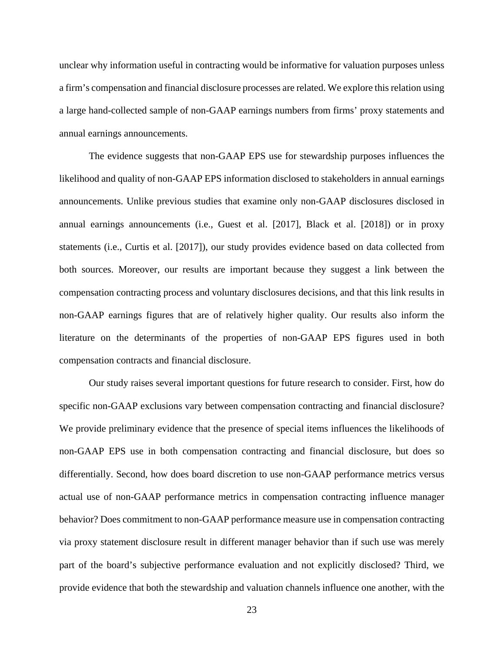unclear why information useful in contracting would be informative for valuation purposes unless a firm's compensation and financial disclosure processes are related. We explore this relation using a large hand-collected sample of non-GAAP earnings numbers from firms' proxy statements and annual earnings announcements.

The evidence suggests that non-GAAP EPS use for stewardship purposes influences the likelihood and quality of non-GAAP EPS information disclosed to stakeholders in annual earnings announcements. Unlike previous studies that examine only non-GAAP disclosures disclosed in annual earnings announcements (i.e., Guest et al. [2017], Black et al. [2018]) or in proxy statements (i.e., Curtis et al. [2017]), our study provides evidence based on data collected from both sources. Moreover, our results are important because they suggest a link between the compensation contracting process and voluntary disclosures decisions, and that this link results in non-GAAP earnings figures that are of relatively higher quality. Our results also inform the literature on the determinants of the properties of non-GAAP EPS figures used in both compensation contracts and financial disclosure.

Our study raises several important questions for future research to consider. First, how do specific non-GAAP exclusions vary between compensation contracting and financial disclosure? We provide preliminary evidence that the presence of special items influences the likelihoods of non-GAAP EPS use in both compensation contracting and financial disclosure, but does so differentially. Second, how does board discretion to use non-GAAP performance metrics versus actual use of non-GAAP performance metrics in compensation contracting influence manager behavior? Does commitment to non-GAAP performance measure use in compensation contracting via proxy statement disclosure result in different manager behavior than if such use was merely part of the board's subjective performance evaluation and not explicitly disclosed? Third, we provide evidence that both the stewardship and valuation channels influence one another, with the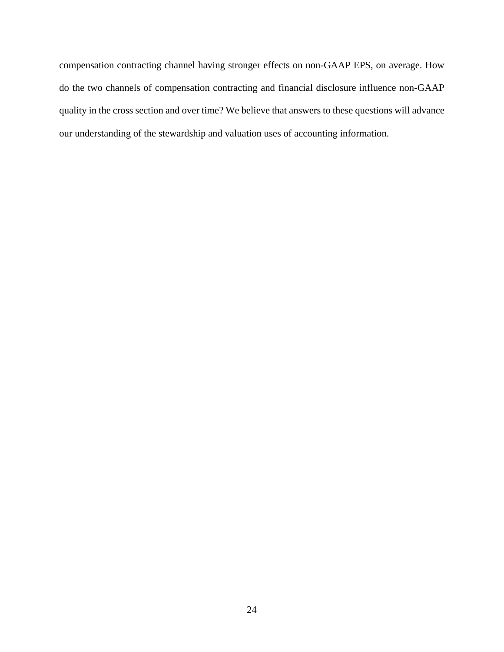compensation contracting channel having stronger effects on non-GAAP EPS, on average. How do the two channels of compensation contracting and financial disclosure influence non-GAAP quality in the cross section and over time? We believe that answers to these questions will advance our understanding of the stewardship and valuation uses of accounting information.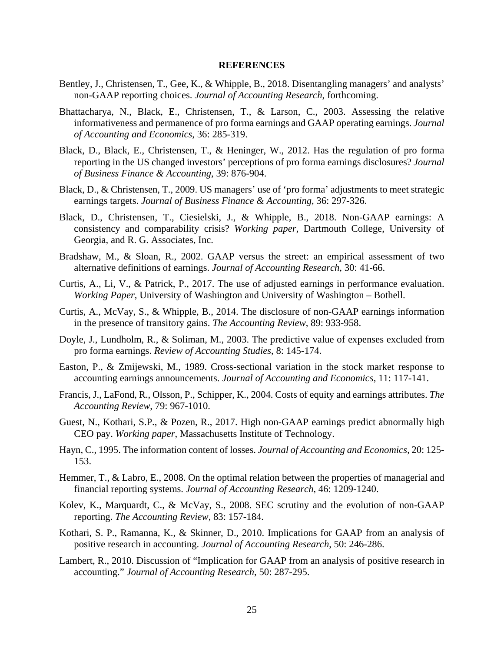#### **REFERENCES**

- Bentley, J., Christensen, T., Gee, K., & Whipple, B., 2018. Disentangling managers' and analysts' non-GAAP reporting choices. *Journal of Accounting Research*, forthcoming.
- Bhattacharya, N., Black, E., Christensen, T., & Larson, C., 2003. Assessing the relative informativeness and permanence of pro forma earnings and GAAP operating earnings. *Journal of Accounting and Economics*, 36: 285-319.
- Black, D., Black, E., Christensen, T., & Heninger, W., 2012. Has the regulation of pro forma reporting in the US changed investors' perceptions of pro forma earnings disclosures? *Journal of Business Finance & Accounting*, 39: 876-904.
- Black, D., & Christensen, T., 2009. US managers' use of 'pro forma' adjustments to meet strategic earnings targets. *Journal of Business Finance & Accounting*, 36: 297-326.
- Black, D., Christensen, T., Ciesielski, J., & Whipple, B., 2018. Non-GAAP earnings: A consistency and comparability crisis? *Working paper*, Dartmouth College, University of Georgia, and R. G. Associates, Inc.
- Bradshaw, M., & Sloan, R., 2002. GAAP versus the street: an empirical assessment of two alternative definitions of earnings. *Journal of Accounting Research*, 30: 41-66.
- Curtis, A., Li, V., & Patrick, P., 2017. The use of adjusted earnings in performance evaluation. *Working Paper*, University of Washington and University of Washington – Bothell.
- Curtis, A., McVay, S., & Whipple, B., 2014. The disclosure of non-GAAP earnings information in the presence of transitory gains. *The Accounting Review*, 89: 933-958.
- Doyle, J., Lundholm, R., & Soliman, M., 2003. The predictive value of expenses excluded from pro forma earnings. *Review of Accounting Studies*, 8: 145-174.
- Easton, P., & Zmijewski, M., 1989. Cross-sectional variation in the stock market response to accounting earnings announcements. *Journal of Accounting and Economics*, 11: 117-141.
- Francis, J., LaFond, R., Olsson, P., Schipper, K., 2004. Costs of equity and earnings attributes. *The Accounting Review*, 79: 967-1010.
- Guest, N., Kothari, S.P., & Pozen, R., 2017. High non-GAAP earnings predict abnormally high CEO pay. *Working paper*, Massachusetts Institute of Technology.
- Hayn, C., 1995. The information content of losses. *Journal of Accounting and Economics*, 20: 125- 153.
- Hemmer, T., & Labro, E., 2008. On the optimal relation between the properties of managerial and financial reporting systems. *Journal of Accounting Research*, 46: 1209-1240.
- Kolev, K., Marquardt, C., & McVay, S., 2008. SEC scrutiny and the evolution of non-GAAP reporting. *The Accounting Review*, 83: 157-184.
- Kothari, S. P., Ramanna, K., & Skinner, D., 2010. Implications for GAAP from an analysis of positive research in accounting. *Journal of Accounting Research*, 50: 246-286.
- Lambert, R., 2010. Discussion of "Implication for GAAP from an analysis of positive research in accounting." *Journal of Accounting Research*, 50: 287-295.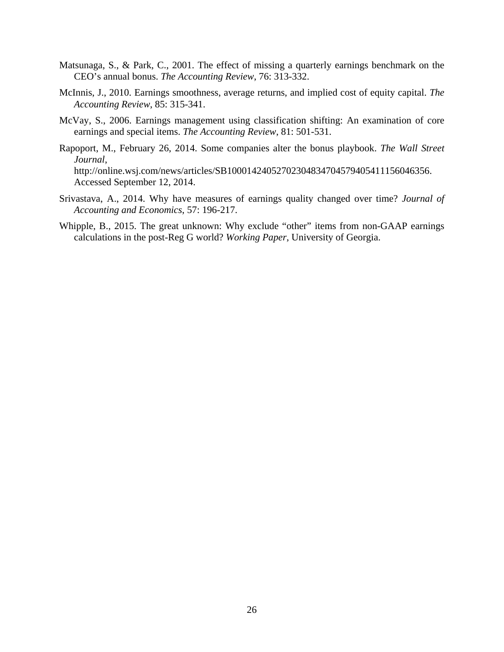- Matsunaga, S., & Park, C., 2001. The effect of missing a quarterly earnings benchmark on the CEO's annual bonus. *The Accounting Review*, 76: 313-332.
- McInnis, J., 2010. Earnings smoothness, average returns, and implied cost of equity capital. *The Accounting Review*, 85: 315-341.
- McVay, S., 2006. Earnings management using classification shifting: An examination of core earnings and special items. *The Accounting Review*, 81: 501-531.
- Rapoport, M., February 26, 2014. Some companies alter the bonus playbook. *The Wall Street Journal*, http://online.wsj.com/news/articles/SB10001424052702304834704579405411156046356. Accessed September 12, 2014.
- Srivastava, A., 2014. Why have measures of earnings quality changed over time? *Journal of Accounting and Economics*, 57: 196-217.
- Whipple, B., 2015. The great unknown: Why exclude "other" items from non-GAAP earnings calculations in the post-Reg G world? *Working Paper*, University of Georgia.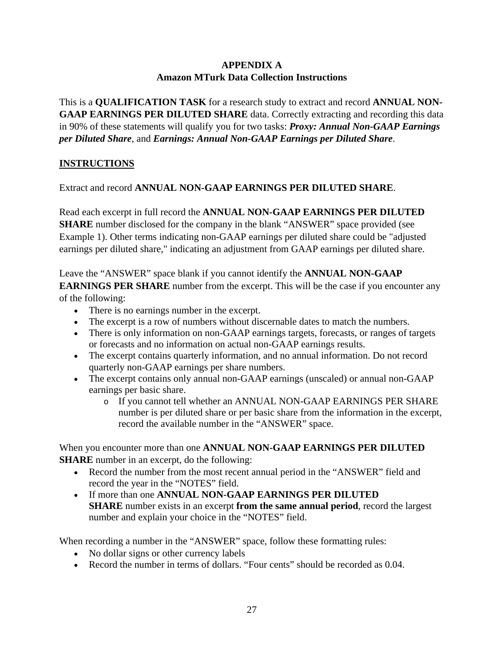## **APPENDIX A Amazon MTurk Data Collection Instructions**

This is a **QUALIFICATION TASK** for a research study to extract and record **ANNUAL NON-GAAP EARNINGS PER DILUTED SHARE** data. Correctly extracting and recording this data in 90% of these statements will qualify you for two tasks: *Proxy: Annual Non-GAAP Earnings per Diluted Share*, and *Earnings: Annual Non-GAAP Earnings per Diluted Share*.

## **INSTRUCTIONS**

Extract and record **ANNUAL NON-GAAP EARNINGS PER DILUTED SHARE**.

Read each excerpt in full record the **ANNUAL NON-GAAP EARNINGS PER DILUTED SHARE** number disclosed for the company in the blank "ANSWER" space provided (see Example 1). Other terms indicating non-GAAP earnings per diluted share could be "adjusted earnings per diluted share," indicating an adjustment from GAAP earnings per diluted share.

Leave the "ANSWER" space blank if you cannot identify the **ANNUAL NON-GAAP EARNINGS PER SHARE** number from the excerpt. This will be the case if you encounter any of the following:

- There is no earnings number in the excerpt.
- The excerpt is a row of numbers without discernable dates to match the numbers.
- There is only information on non-GAAP earnings targets, forecasts, or ranges of targets or forecasts and no information on actual non-GAAP earnings results.
- The excerpt contains quarterly information, and no annual information. Do not record quarterly non-GAAP earnings per share numbers.
- The excerpt contains only annual non-GAAP earnings (unscaled) or annual non-GAAP earnings per basic share.
	- o If you cannot tell whether an ANNUAL NON-GAAP EARNINGS PER SHARE number is per diluted share or per basic share from the information in the excerpt, record the available number in the "ANSWER" space.

When you encounter more than one **ANNUAL NON-GAAP EARNINGS PER DILUTED SHARE** number in an excerpt, do the following:

- Record the number from the most recent annual period in the "ANSWER" field and record the year in the "NOTES" field.
- If more than one **ANNUAL NON-GAAP EARNINGS PER DILUTED SHARE** number exists in an excerpt **from the same annual period**, record the largest number and explain your choice in the "NOTES" field.

When recording a number in the "ANSWER" space, follow these formatting rules:

- No dollar signs or other currency labels
- Record the number in terms of dollars. "Four cents" should be recorded as 0.04.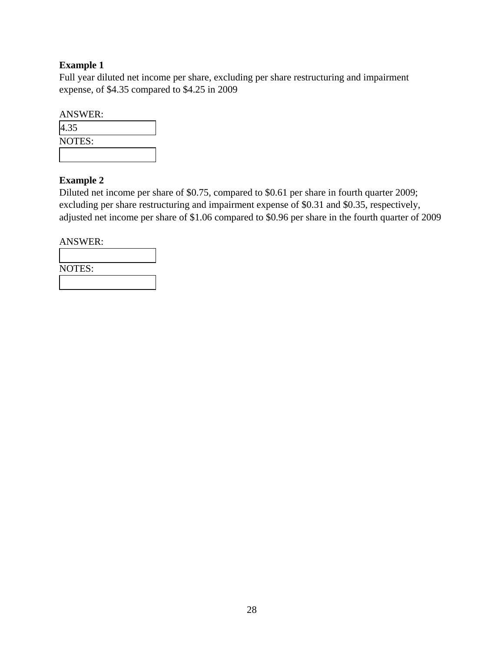## **Example 1**

Full year diluted net income per share, excluding per share restructuring and impairment expense, of \$4.35 compared to \$4.25 in 2009

| <b>ANSWER:</b> |  |
|----------------|--|
| 4.35           |  |
| NOTES:         |  |
|                |  |

## **Example 2**

Diluted net income per share of \$0.75, compared to \$0.61 per share in fourth quarter 2009; excluding per share restructuring and impairment expense of \$0.31 and \$0.35, respectively, adjusted net income per share of \$1.06 compared to \$0.96 per share in the fourth quarter of 2009

ANSWER:  $\overline{\Gamma}$ 

| <b>NOTES:</b> |  |
|---------------|--|
|               |  |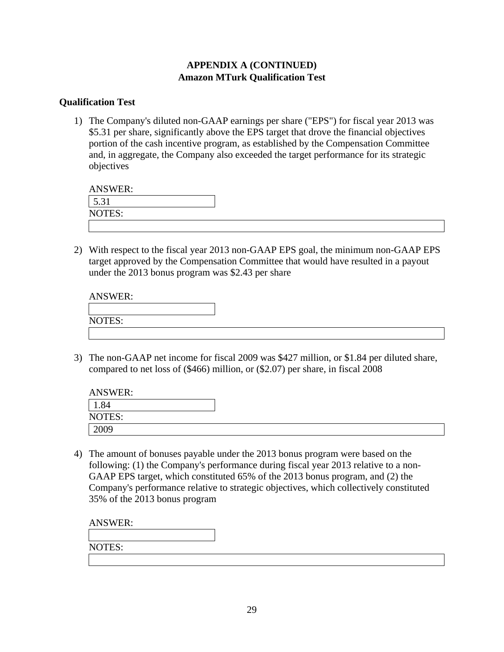## **APPENDIX A (CONTINUED) Amazon MTurk Qualification Test**

### **Qualification Test**

1) The Company's diluted non-GAAP earnings per share ("EPS") for fiscal year 2013 was \$5.31 per share, significantly above the EPS target that drove the financial objectives portion of the cash incentive program, as established by the Compensation Committee and, in aggregate, the Company also exceeded the target performance for its strategic objectives

| <b>ANSWER:</b>                                   |  |  |
|--------------------------------------------------|--|--|
| $\overline{\phantom{0}}$<br>$\bigcap$ 1<br>J.J 1 |  |  |
| NOTES:                                           |  |  |

2) With respect to the fiscal year 2013 non-GAAP EPS goal, the minimum non-GAAP EPS target approved by the Compensation Committee that would have resulted in a payout under the 2013 bonus program was \$2.43 per share

| <b>ANSWER:</b> |  |  |  |
|----------------|--|--|--|
|                |  |  |  |
| NOTES:         |  |  |  |
|                |  |  |  |

3) The non-GAAP net income for fiscal 2009 was \$427 million, or \$1.84 per diluted share, compared to net loss of (\$466) million, or (\$2.07) per share, in fiscal 2008

| <b>ANSWER:</b> |  |
|----------------|--|
| 1.84           |  |
| NOTES:         |  |
| 2009           |  |

4) The amount of bonuses payable under the 2013 bonus program were based on the following: (1) the Company's performance during fiscal year 2013 relative to a non-GAAP EPS target, which constituted 65% of the 2013 bonus program, and (2) the Company's performance relative to strategic objectives, which collectively constituted 35% of the 2013 bonus program

NOTES: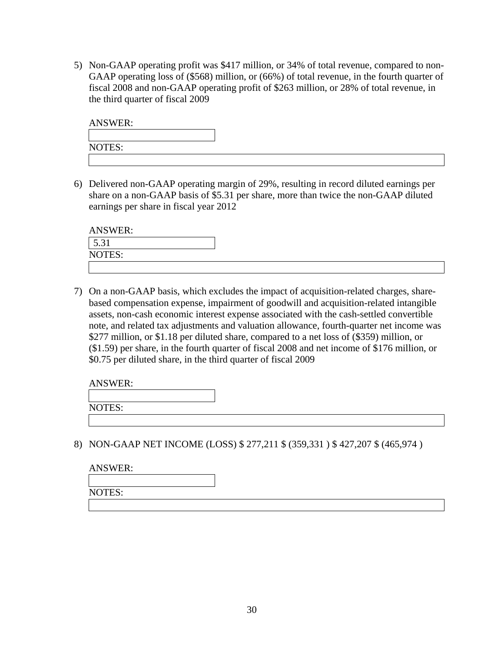5) Non-GAAP operating profit was \$417 million, or 34% of total revenue, compared to non-GAAP operating loss of (\$568) million, or (66%) of total revenue, in the fourth quarter of fiscal 2008 and non-GAAP operating profit of \$263 million, or 28% of total revenue, in the third quarter of fiscal 2009

| <b>ANSWER:</b> |  |  |  |
|----------------|--|--|--|
|                |  |  |  |
| NOTES:         |  |  |  |
|                |  |  |  |

6) Delivered non-GAAP operating margin of 29%, resulting in record diluted earnings per share on a non-GAAP basis of \$5.31 per share, more than twice the non-GAAP diluted earnings per share in fiscal year 2012

| <b>ANSWER:</b> |  |
|----------------|--|
| 5.31           |  |
| NOTES:         |  |
|                |  |

7) On a non-GAAP basis, which excludes the impact of acquisition-related charges, sharebased compensation expense, impairment of goodwill and acquisition-related intangible assets, non-cash economic interest expense associated with the cash-settled convertible note, and related tax adjustments and valuation allowance, fourth-quarter net income was \$277 million, or \$1.18 per diluted share, compared to a net loss of (\$359) million, or (\$1.59) per share, in the fourth quarter of fiscal 2008 and net income of \$176 million, or \$0.75 per diluted share, in the third quarter of fiscal 2009

NOTES:

8) NON-GAAP NET INCOME (LOSS) \$ 277,211 \$ (359,331 ) \$ 427,207 \$ (465,974 )

| <b>ANSWER:</b> |  |  |
|----------------|--|--|
|                |  |  |
| NOTES:         |  |  |
|                |  |  |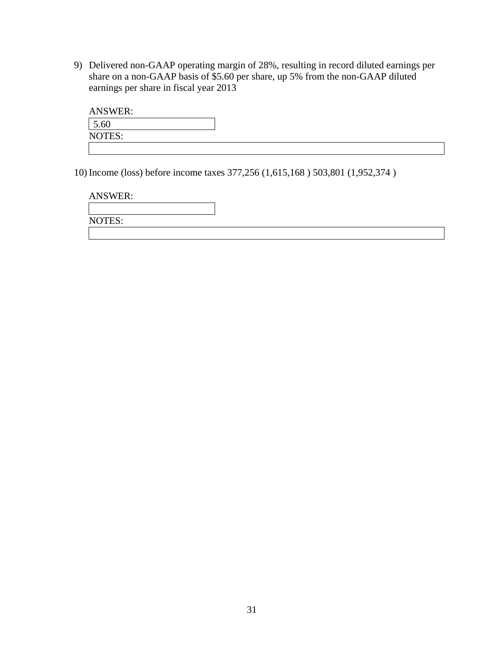9) Delivered non-GAAP operating margin of 28%, resulting in record diluted earnings per share on a non-GAAP basis of \$5.60 per share, up 5% from the non-GAAP diluted earnings per share in fiscal year 2013

| <b>ANSWER:</b> |  |
|----------------|--|
| 5.60           |  |
| NOTES:         |  |
|                |  |

10) Income (loss) before income taxes 377,256 (1,615,168 ) 503,801 (1,952,374 )

| <b>ANSWER:</b> |  |
|----------------|--|
|                |  |
| <b>NOTES:</b>  |  |
|                |  |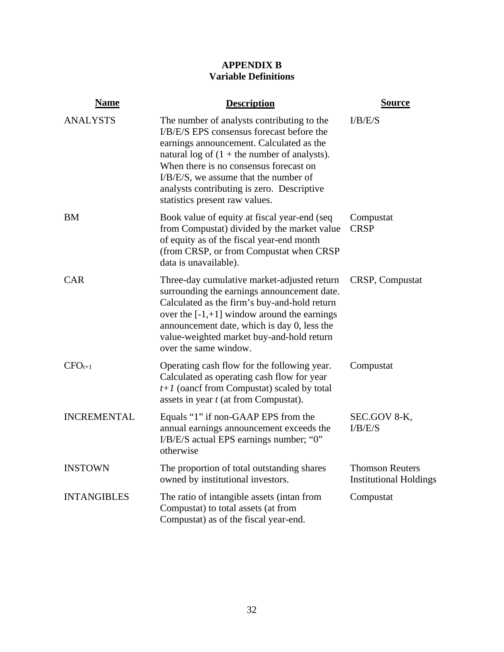## **APPENDIX B Variable Definitions**

| <b>Name</b>        | <b>Description</b>                                                                                                                                                                                                                                                                                                                                       | <b>Source</b>                                           |
|--------------------|----------------------------------------------------------------------------------------------------------------------------------------------------------------------------------------------------------------------------------------------------------------------------------------------------------------------------------------------------------|---------------------------------------------------------|
| <b>ANALYSTS</b>    | The number of analysts contributing to the<br>I/B/E/S EPS consensus forecast before the<br>earnings announcement. Calculated as the<br>natural log of $(1 +$ the number of analysts).<br>When there is no consensus forecast on<br>I/B/E/S, we assume that the number of<br>analysts contributing is zero. Descriptive<br>statistics present raw values. | I/B/E/S                                                 |
| BM                 | Book value of equity at fiscal year-end (seq<br>from Compustat) divided by the market value<br>of equity as of the fiscal year-end month<br>(from CRSP, or from Compustat when CRSP<br>data is unavailable).                                                                                                                                             | Compustat<br><b>CRSP</b>                                |
| <b>CAR</b>         | Three-day cumulative market-adjusted return<br>surrounding the earnings announcement date.<br>Calculated as the firm's buy-and-hold return<br>over the $[-1, +1]$ window around the earnings<br>announcement date, which is day 0, less the<br>value-weighted market buy-and-hold return<br>over the same window.                                        | CRSP, Compustat                                         |
| $CFO_{t+1}$        | Operating cash flow for the following year.<br>Calculated as operating cash flow for year<br>$t+1$ (oancf from Compustat) scaled by total<br>assets in year t (at from Compustat).                                                                                                                                                                       | Compustat                                               |
| <b>INCREMENTAL</b> | Equals "1" if non-GAAP EPS from the<br>annual earnings announcement exceeds the<br>I/B/E/S actual EPS earnings number; "0"<br>otherwise                                                                                                                                                                                                                  | SEC.GOV 8-K,<br>I/B/E/S                                 |
| <b>INSTOWN</b>     | The proportion of total outstanding shares<br>owned by institutional investors.                                                                                                                                                                                                                                                                          | <b>Thomson Reuters</b><br><b>Institutional Holdings</b> |
| <b>INTANGIBLES</b> | The ratio of intangible assets (intan from<br>Compustat) to total assets (at from<br>Compustat) as of the fiscal year-end.                                                                                                                                                                                                                               | Compustat                                               |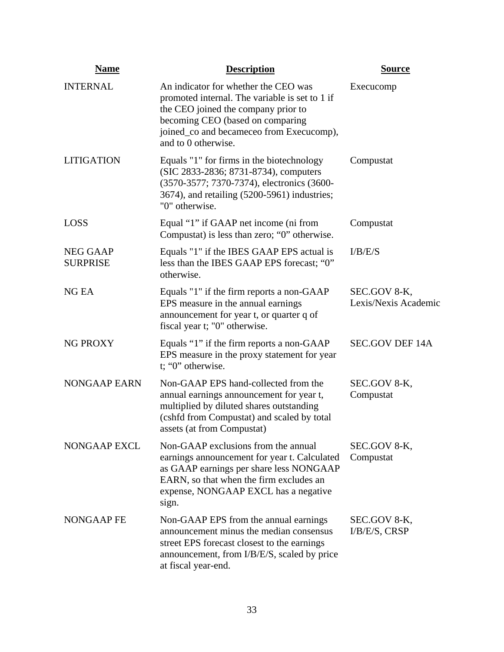| <b>Name</b>                        | <b>Description</b>                                                                                                                                                                                                                   | <b>Source</b>                        |
|------------------------------------|--------------------------------------------------------------------------------------------------------------------------------------------------------------------------------------------------------------------------------------|--------------------------------------|
| <b>INTERNAL</b>                    | An indicator for whether the CEO was<br>promoted internal. The variable is set to 1 if<br>the CEO joined the company prior to<br>becoming CEO (based on comparing<br>joined_co and becameceo from Execucomp),<br>and to 0 otherwise. | Execucomp                            |
| <b>LITIGATION</b>                  | Equals "1" for firms in the biotechnology<br>(SIC 2833-2836; 8731-8734), computers<br>(3570-3577; 7370-7374), electronics (3600-<br>3674), and retailing (5200-5961) industries;<br>"0" otherwise.                                   | Compustat                            |
| <b>LOSS</b>                        | Equal "1" if GAAP net income (ni from<br>Compustat) is less than zero; "0" otherwise.                                                                                                                                                | Compustat                            |
| <b>NEG GAAP</b><br><b>SURPRISE</b> | Equals "1" if the IBES GAAP EPS actual is<br>less than the IBES GAAP EPS forecast; "0"<br>otherwise.                                                                                                                                 | I/B/E/S                              |
| NG EA                              | Equals "1" if the firm reports a non-GAAP<br>EPS measure in the annual earnings<br>announcement for year t, or quarter q of<br>fiscal year t; "0" otherwise.                                                                         | SEC.GOV 8-K,<br>Lexis/Nexis Academic |
| <b>NG PROXY</b>                    | Equals "1" if the firm reports a non-GAAP<br>EPS measure in the proxy statement for year<br>t; "0" otherwise.                                                                                                                        | <b>SEC.GOV DEF 14A</b>               |
| <b>NONGAAP EARN</b>                | Non-GAAP EPS hand-collected from the<br>annual earnings announcement for year t,<br>multiplied by diluted shares outstanding<br>(cshfd from Compustat) and scaled by total<br>assets (at from Compustat)                             | SEC.GOV 8-K,<br>Compustat            |
| NONGAAP EXCL                       | Non-GAAP exclusions from the annual<br>earnings announcement for year t. Calculated<br>as GAAP earnings per share less NONGAAP<br>EARN, so that when the firm excludes an<br>expense, NONGAAP EXCL has a negative<br>sign.           | SEC.GOV 8-K,<br>Compustat            |
| NONGAAP FE                         | Non-GAAP EPS from the annual earnings<br>announcement minus the median consensus<br>street EPS forecast closest to the earnings<br>announcement, from I/B/E/S, scaled by price<br>at fiscal year-end.                                | SEC.GOV 8-K,<br>I/B/E/S, CRSP        |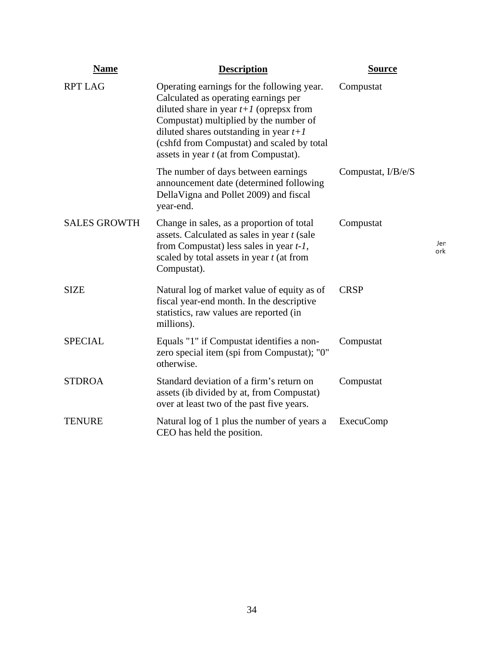| <b>Name</b>         | <b>Description</b>                                                                                                                                                                                                                                                                                           | <b>Source</b>      |            |
|---------------------|--------------------------------------------------------------------------------------------------------------------------------------------------------------------------------------------------------------------------------------------------------------------------------------------------------------|--------------------|------------|
| <b>RPT LAG</b>      | Operating earnings for the following year.<br>Calculated as operating earnings per<br>diluted share in year $t+1$ (oprepsx from<br>Compustat) multiplied by the number of<br>diluted shares outstanding in year $t+1$<br>(cshfd from Compustat) and scaled by total<br>assets in year t (at from Compustat). | Compustat          |            |
|                     | The number of days between earnings<br>announcement date (determined following<br>DellaVigna and Pollet 2009) and fiscal<br>year-end.                                                                                                                                                                        | Compustat, I/B/e/S |            |
| <b>SALES GROWTH</b> | Change in sales, as a proportion of total<br>assets. Calculated as sales in year t (sale<br>from Compustat) less sales in year $t-1$ ,<br>scaled by total assets in year t (at from<br>Compustat).                                                                                                           | Compustat          | Jer<br>ork |
| <b>SIZE</b>         | Natural log of market value of equity as of<br>fiscal year-end month. In the descriptive<br>statistics, raw values are reported (in<br>millions).                                                                                                                                                            | <b>CRSP</b>        |            |
| <b>SPECIAL</b>      | Equals "1" if Compustat identifies a non-<br>zero special item (spi from Compustat); "0"<br>otherwise.                                                                                                                                                                                                       | Compustat          |            |
| <b>STDROA</b>       | Standard deviation of a firm's return on<br>assets (ib divided by at, from Compustat)<br>over at least two of the past five years.                                                                                                                                                                           | Compustat          |            |
| <b>TENURE</b>       | Natural log of 1 plus the number of years a<br>CEO has held the position.                                                                                                                                                                                                                                    | <b>ExecuComp</b>   |            |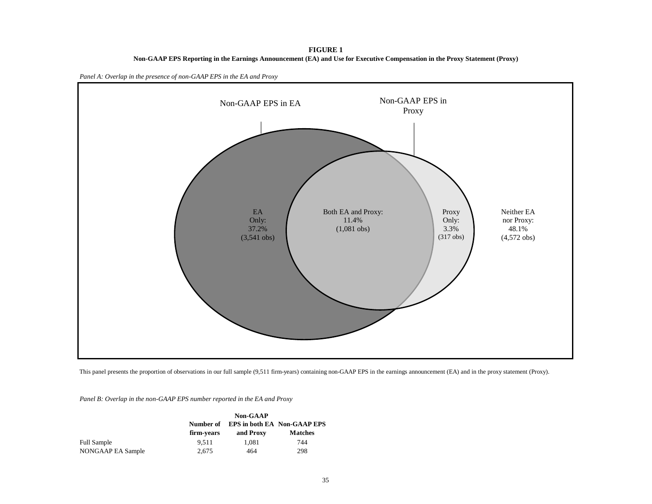**FIGURE 1 Non-GAAP EPS Reporting in the Earnings Announcement (EA) and Use for Executive Compensation in the Proxy Statement (Proxy)**





This panel presents the proportion of observations in our full sample (9,511 firm-years) containing non-GAAP EPS in the earnings announcement (EA) and in the proxy statement (Proxy).

*Panel B: Overlap in the non-GAAP EPS number reported in the EA and Proxy*

|                   |            | <b>Non-GAAP</b> |                                    |
|-------------------|------------|-----------------|------------------------------------|
|                   | Number of  |                 | <b>EPS in both EA Non-GAAP EPS</b> |
|                   | firm-years | and Proxy       | <b>Matches</b>                     |
| Full Sample       | 9.511      | 1.081           | 744                                |
| NONGAAP EA Sample | 2.675      | 464             | 298                                |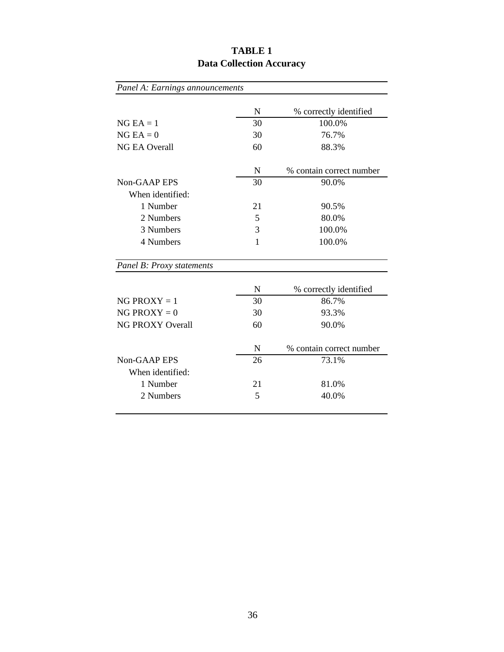| Panel A: Earnings announcements |             |                          |
|---------------------------------|-------------|--------------------------|
|                                 | $\mathbf N$ | % correctly identified   |
| $NG EA = 1$                     | 30          | 100.0%                   |
| $NG EA = 0$                     | 30          | 76.7%                    |
| <b>NG EA Overall</b>            | 60          | 88.3%                    |
|                                 | N           | % contain correct number |
| Non-GAAP EPS                    | 30          | 90.0%                    |
| When identified:                |             |                          |
| 1 Number                        | 21          | 90.5%                    |
| 2 Numbers                       | 5           | 80.0%                    |
| 3 Numbers                       | 3           | 100.0%                   |
| 4 Numbers                       | 1           | 100.0%                   |
| Panel B: Proxy statements       |             |                          |
|                                 | N           | % correctly identified   |
| $NG$ PROXY = 1                  | 30          | 86.7%                    |
| NG PROXY = $0$                  | 30          | 93.3%                    |
| <b>NG PROXY Overall</b>         | 60          | 90.0%                    |
|                                 | N           | % contain correct number |
| Non-GAAP EPS                    | 26          | 73.1%                    |
| When identified:                |             |                          |
| 1 Number                        | 21          | 81.0%                    |
| 2 Numbers                       | 5           | 40.0%                    |
|                                 |             |                          |

# **TABLE 1 Data Collection Accuracy**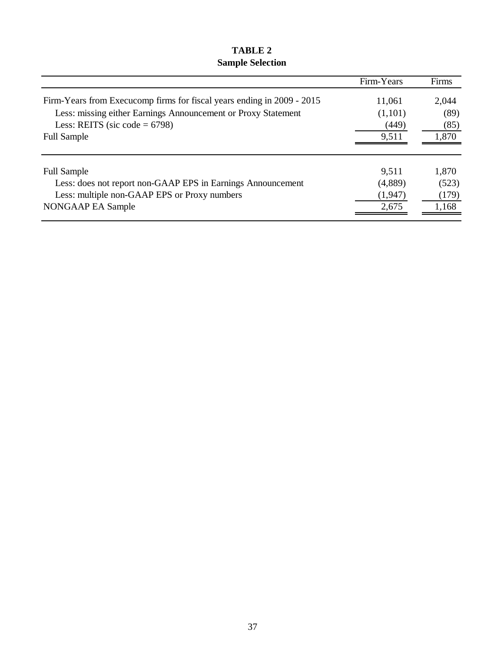## **TABLE 2 Sample Selection**

|                                                                        | Firm-Years | Firms |
|------------------------------------------------------------------------|------------|-------|
| Firm-Years from Execucomp firms for fiscal years ending in 2009 - 2015 | 11,061     | 2,044 |
| Less: missing either Earnings Announcement or Proxy Statement          | (1,101)    | (89)  |
| Less: REITS (sic code = $6798$ )                                       | (449)      | (85)  |
| <b>Full Sample</b>                                                     | 9,511      | 1,870 |
|                                                                        |            |       |
| <b>Full Sample</b>                                                     | 9,511      | 1,870 |
| Less: does not report non-GAAP EPS in Earnings Announcement            | (4,889)    | (523) |
| Less: multiple non-GAAP EPS or Proxy numbers                           | (1, 947)   | (179) |
| NONGAAP EA Sample                                                      | 2,675      | 1,168 |
|                                                                        |            |       |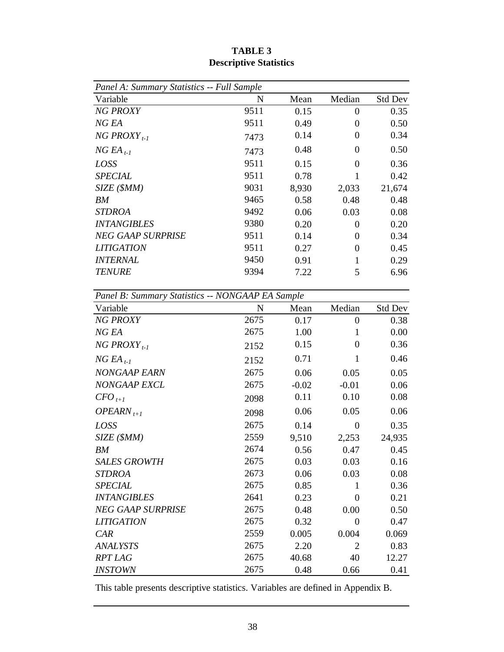| Panel A: Summary Statistics -- Full Sample       |             |         |                  |         |
|--------------------------------------------------|-------------|---------|------------------|---------|
| Variable                                         | $\mathbf N$ | Mean    | Median           | Std Dev |
| <b>NG PROXY</b>                                  | 9511        | 0.15    | $\overline{0}$   | 0.35    |
| NG EA                                            | 9511        | 0.49    | $\overline{0}$   | 0.50    |
| NG PROXY <sub>t-1</sub>                          | 7473        | 0.14    | $\boldsymbol{0}$ | 0.34    |
| $NGEA$ <sub>t-1</sub>                            | 7473        | 0.48    | $\boldsymbol{0}$ | 0.50    |
| LOSS                                             | 9511        | 0.15    | $\overline{0}$   | 0.36    |
| <b>SPECIAL</b>                                   | 9511        | 0.78    | 1                | 0.42    |
| SIZE (\$MM)                                      | 9031        | 8,930   | 2,033            | 21,674  |
| BM                                               | 9465        | 0.58    | 0.48             | 0.48    |
| <b>STDROA</b>                                    | 9492        | 0.06    | 0.03             | 0.08    |
| <b>INTANGIBLES</b>                               | 9380        | 0.20    | $\boldsymbol{0}$ | 0.20    |
| <b>NEG GAAP SURPRISE</b>                         | 9511        | 0.14    | $\boldsymbol{0}$ | 0.34    |
| <b>LITIGATION</b>                                | 9511        | 0.27    | $\boldsymbol{0}$ | 0.45    |
| <b>INTERNAL</b>                                  | 9450        | 0.91    | 1                | 0.29    |
| <b>TENURE</b>                                    | 9394        | 7.22    | 5                | 6.96    |
|                                                  |             |         |                  |         |
| Panel B: Summary Statistics -- NONGAAP EA Sample |             |         |                  |         |
| Variable                                         | $\mathbf N$ | Mean    | Median           | Std Dev |
| <b>NG PROXY</b>                                  | 2675        | 0.17    | $\boldsymbol{0}$ | 0.38    |
| NG EA                                            | 2675        | 1.00    | $\mathbf{1}$     | 0.00    |
| NG PROXY <sub>t-1</sub>                          | 2152        | 0.15    | $\boldsymbol{0}$ | 0.36    |
| $NGEA$ <sub>t-1</sub>                            | 2152        | 0.71    | $\mathbf{1}$     | 0.46    |
| NONGAAP EARN                                     | 2675        | 0.06    | 0.05             | 0.05    |
| NONGAAP EXCL                                     | 2675        | $-0.02$ | $-0.01$          | 0.06    |
| $CFO_{t+1}$                                      | 2098        | 0.11    | 0.10             | 0.08    |
| OPEARN <sub>t+1</sub>                            | 2098        | 0.06    | 0.05             | 0.06    |
| LOSS                                             | 2675        | 0.14    | $\boldsymbol{0}$ | 0.35    |
| SIZE (\$MM)                                      | 2559        | 9,510   | 2,253            | 24,935  |
| BM                                               | 2674        | 0.56    | 0.47             | 0.45    |
| <b>SALES GROWTH</b>                              | 2675        | 0.03    | 0.03             | 0.16    |
| <b>STDROA</b>                                    | 2673        | 0.06    | 0.03             | 0.08    |
| <b>SPECIAL</b>                                   | 2675        | 0.85    | 1                | 0.36    |
| <b>INTANGIBLES</b>                               | 2641        | 0.23    | $\boldsymbol{0}$ | 0.21    |
| <b>NEG GAAP SURPRISE</b>                         | 2675        | 0.48    | 0.00             | 0.50    |
| <b>LITIGATION</b>                                | 2675        | 0.32    | $\overline{0}$   | 0.47    |
| CAR                                              | 2559        | 0.005   | 0.004            | 0.069   |
| <b>ANALYSTS</b>                                  | 2675        | 2.20    | $\overline{2}$   | 0.83    |
| <b>RPT LAG</b>                                   | 2675        | 40.68   | 40               | 12.27   |
| <b>INSTOWN</b>                                   | 2675        | 0.48    | 0.66             | 0.41    |

**TABLE 3 Descriptive Statistics**

This table presents descriptive statistics. Variables are defined in Appendix B.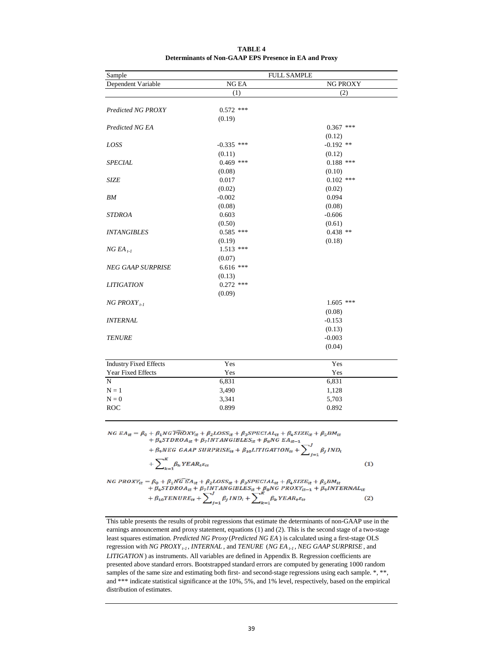|              | <b>FULL SAMPLE</b>                                                                                                |                                                                                                                                                                           |  |  |
|--------------|-------------------------------------------------------------------------------------------------------------------|---------------------------------------------------------------------------------------------------------------------------------------------------------------------------|--|--|
| <b>NG EA</b> | NG PROXY                                                                                                          |                                                                                                                                                                           |  |  |
| (1)          | (2)                                                                                                               |                                                                                                                                                                           |  |  |
|              |                                                                                                                   |                                                                                                                                                                           |  |  |
|              |                                                                                                                   |                                                                                                                                                                           |  |  |
|              |                                                                                                                   |                                                                                                                                                                           |  |  |
|              |                                                                                                                   |                                                                                                                                                                           |  |  |
|              |                                                                                                                   |                                                                                                                                                                           |  |  |
|              |                                                                                                                   |                                                                                                                                                                           |  |  |
|              |                                                                                                                   |                                                                                                                                                                           |  |  |
|              |                                                                                                                   |                                                                                                                                                                           |  |  |
|              |                                                                                                                   |                                                                                                                                                                           |  |  |
|              |                                                                                                                   |                                                                                                                                                                           |  |  |
|              |                                                                                                                   |                                                                                                                                                                           |  |  |
|              |                                                                                                                   |                                                                                                                                                                           |  |  |
|              |                                                                                                                   |                                                                                                                                                                           |  |  |
| 0.603        | $-0.606$                                                                                                          |                                                                                                                                                                           |  |  |
| (0.50)       | (0.61)                                                                                                            |                                                                                                                                                                           |  |  |
| $0.585$ ***  | $0.438**$                                                                                                         |                                                                                                                                                                           |  |  |
| (0.19)       | (0.18)                                                                                                            |                                                                                                                                                                           |  |  |
| $1.513$ ***  |                                                                                                                   |                                                                                                                                                                           |  |  |
| (0.07)       |                                                                                                                   |                                                                                                                                                                           |  |  |
| $6.616$ ***  |                                                                                                                   |                                                                                                                                                                           |  |  |
| (0.13)       |                                                                                                                   |                                                                                                                                                                           |  |  |
| $0.272$ ***  |                                                                                                                   |                                                                                                                                                                           |  |  |
| (0.09)       |                                                                                                                   |                                                                                                                                                                           |  |  |
|              | $1.605$ ***                                                                                                       |                                                                                                                                                                           |  |  |
|              |                                                                                                                   |                                                                                                                                                                           |  |  |
|              |                                                                                                                   |                                                                                                                                                                           |  |  |
|              |                                                                                                                   |                                                                                                                                                                           |  |  |
|              |                                                                                                                   |                                                                                                                                                                           |  |  |
|              |                                                                                                                   |                                                                                                                                                                           |  |  |
|              |                                                                                                                   |                                                                                                                                                                           |  |  |
| Yes          | Yes                                                                                                               |                                                                                                                                                                           |  |  |
| Yes          | Yes                                                                                                               |                                                                                                                                                                           |  |  |
| 6,831        | 6,831                                                                                                             |                                                                                                                                                                           |  |  |
| 3,490        | 1,128                                                                                                             |                                                                                                                                                                           |  |  |
| 3,341        | 5,703                                                                                                             |                                                                                                                                                                           |  |  |
| 0.899        | 0.892                                                                                                             |                                                                                                                                                                           |  |  |
|              |                                                                                                                   |                                                                                                                                                                           |  |  |
|              | $0.572$ ***<br>(0.19)<br>$-0.335$ ***<br>(0.11)<br>$0.469$ ***<br>(0.08)<br>0.017<br>(0.02)<br>$-0.002$<br>(0.08) | $0.367$ ***<br>(0.12)<br>$-0.192$ **<br>(0.12)<br>$0.188$ ***<br>(0.10)<br>$0.102$ ***<br>(0.02)<br>0.094<br>(0.08)<br>(0.08)<br>$-0.153$<br>(0.13)<br>$-0.003$<br>(0.04) |  |  |

#### **TABLE 4 Determinants of Non-GAAP EPS Presence in EA and Proxy**

 $\begin{aligned} \label{eq:NGE} NG\ E A_{tt} = \beta_0 + \beta_1 NG\ \widehat{PROX}Y_{tt} + \beta_2 LOS S_{tt} + \beta_3 SPECIAL_{tt} + \beta_4 SIZE_{tt} + \beta_5 BM_{tt} \\ + \beta_6 STDRO A_{tt} + \beta_7 INTANGIBLES_{tt} + \beta_8 NG\ EA_{tt-1} \\ + \beta_9 NEG\ GAAP\ SURPRISE_{tt} + \beta_{10} LITIGATION_{tt} + \sum\nolimits_{i=1}^{J} \beta_i IND_i \end{aligned}$ 

$$
+\sum_{k=1}^{K} \beta_k Y E A R_t \varepsilon_{tt} \tag{1}
$$

 $\begin{aligned} \label{eq:NGPROX} NG\ PROXY_{tt}=\beta_0+\beta_1 NGEA_{tt}+\beta_2 LOSS_{tt}+\beta_3 SPECIAL_{tt}+\beta_4 SIZE_{tt}+\beta_5 BM_{tt}\\ +\beta_6 STDROA_{tt}+\beta_7 INTAN GIBLES_{tt}+\beta_8 NG\ PROXY_{tt-1}+\beta_9 INTERNAL_{tt}\\ +\beta_{10} TENURE_{tt}+\sum\nolimits_{j=1}^{J}\beta_j \, IND_t+\sum\nolimits_{k=1}^{K}\beta_k \, YEAR_t\epsilon_{tt} \end{aligned}$  $(2)$ 

This table presents the results of probit regressions that estimate the determinants of non-GAAP use in the earnings announcement and proxy statement, equations (1) and (2). This is the second stage of a two-stage least squares estimation. *Predicted NG Proxy* (*Predicted NG EA* ) is calculated using a first-stage OLS regression with *NG PROXY t-1* , *INTERNAL* , and *TENURE* (*NG EA t-1* , *NEG GAAP SURPRISE* , and *LITIGATION*) as instruments. All variables are defined in Appendix B. Regression coefficients are presented above standard errors. Bootstrapped standard errors are computed by generating 1000 random samples of the same size and estimating both first- and second-stage regressions using each sample. \*, \*\*, and \*\*\* indicate statistical significance at the 10%, 5%, and 1% level, respectively, based on the empirical distribution of estimates.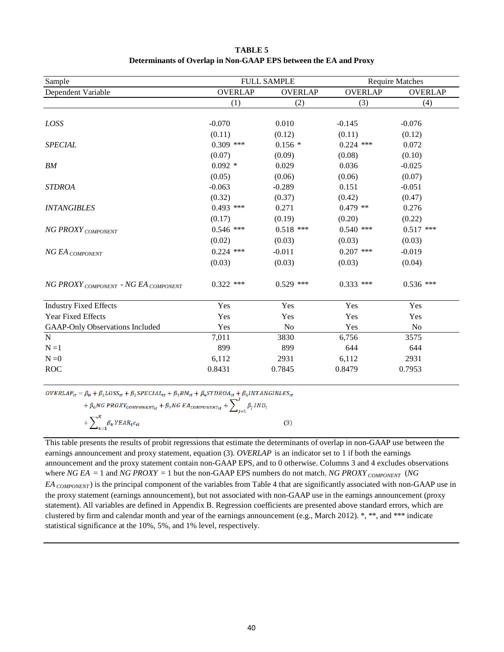| Sample                                 |                | <b>FULL SAMPLE</b> |                | <b>Require Matches</b> |
|----------------------------------------|----------------|--------------------|----------------|------------------------|
| Dependent Variable                     | <b>OVERLAP</b> | <b>OVERLAP</b>     | <b>OVERLAP</b> | <b>OVERLAP</b>         |
|                                        | (1)            | (2)                | (3)            | (4)                    |
|                                        |                |                    |                |                        |
| LOSS                                   | $-0.070$       | 0.010              | $-0.145$       | $-0.076$               |
|                                        | (0.11)         | (0.12)             | (0.11)         | (0.12)                 |
| <b>SPECIAL</b>                         | $0.309$ ***    | $0.156*$           | $0.224$ ***    | 0.072                  |
|                                        | (0.07)         | (0.09)             | (0.08)         | (0.10)                 |
| BM                                     | $0.092 *$      | 0.029              | 0.036          | $-0.025$               |
|                                        | (0.05)         | (0.06)             | (0.06)         | (0.07)                 |
| <b>STDROA</b>                          | $-0.063$       | $-0.289$           | 0.151          | $-0.051$               |
|                                        | (0.32)         | (0.37)             | (0.42)         | (0.47)                 |
| <b>INTANGIBLES</b>                     | $0.493$ ***    | 0.271              | $0.479$ **     | 0.276                  |
|                                        | (0.17)         | (0.19)             | (0.20)         | (0.22)                 |
| NG PROXY COMPONENT                     | $0.546$ ***    | $0.518$ ***        | $0.540$ ***    | $0.517$ ***            |
|                                        | (0.02)         | (0.03)             | (0.03)         | (0.03)                 |
| NG EA COMPONENT                        | $0.224$ ***    | $-0.011$           | $0.207$ ***    | $-0.019$               |
|                                        | (0.03)         | (0.03)             | (0.03)         | (0.04)                 |
| NG PROXY COMPONENT - NG EA COMPONENT   | $0.322$ ***    | $0.529$ ***        | $0.333$ ***    | $0.536$ ***            |
| <b>Industry Fixed Effects</b>          | Yes            | Yes                | Yes            | Yes                    |
| Year Fixed Effects                     | Yes            | Yes                | Yes            | Yes                    |
| <b>GAAP-Only Observations Included</b> | Yes            | N <sub>o</sub>     | Yes            | N <sub>0</sub>         |
| ${\bf N}$                              | 7,011          | 3830               | 6,756          | 3575                   |
| $N = 1$                                | 899            | 899                | 644            | 644                    |
| $N = 0$                                | 6,112          | 2931               | 6,112          | 2931                   |
| <b>ROC</b>                             | 0.8431         | 0.7845             | 0.8479         | 0.7953                 |

**TABLE 5 Determinants of Overlap in Non-GAAP EPS between the EA and Proxy**

 $\label{eq:ovERLAP} OVERLAP_{it} = \beta_0 + \beta_1 Loss_{it} + \beta_2 SPECIAL_{it} + \beta_3 BM_{it} + \beta_4 STDROA_{it} + \beta_5 INTAN GIBLES_{it}$ 

| + $\beta_6 NG \, PROXY_{COMPONENT_{it}} + \beta_7 NG \, EA_{COMPONENT_{it}} + \sum_{i=1} \beta_j \, IND_i$ |     |
|------------------------------------------------------------------------------------------------------------|-----|
| $+\sum_{k=1}^K \beta_k$ YEAR <sub>t</sub> $\varepsilon_{it}$                                               | (3) |

This table presents the results of probit regressions that estimate the determinants of overlap in non-GAAP use between the earnings announcement and proxy statement, equation (3). *OVERLAP* is an indicator set to 1 if both the earnings announcement and the proxy statement contain non-GAAP EPS, and to 0 otherwise. Columns 3 and 4 excludes observations where *NG EA* = 1 and *NG PROXY* = 1 but the non-GAAP EPS numbers do not match. *NG PROXY COMPONENT* (*NG EA COMPONENT* ) is the principal component of the variables from Table 4 that are significantly associated with non-GAAP use in the proxy statement (earnings announcement), but not associated with non-GAAP use in the earnings announcement (proxy statement). All variables are defined in Appendix B. Regression coefficients are presented above standard errors, which are clustered by firm and calendar month and year of the earnings announcement (e.g., March 2012). \*, \*\*, and \*\*\* indicate statistical significance at the 10%, 5%, and 1% level, respectively.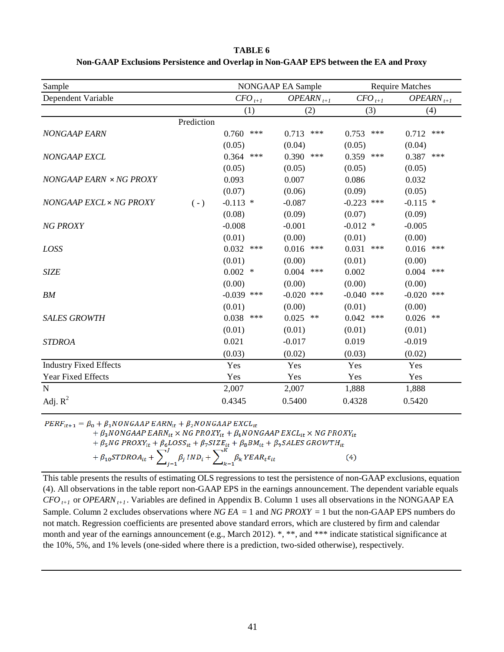| Sample                        |            |                   | NONGAAP EA Sample           |                   | <b>Require Matches</b>  |
|-------------------------------|------------|-------------------|-----------------------------|-------------------|-------------------------|
| Dependent Variable            |            | $CFO_{t+1}$       | $OPEARN_{t+1}$              | $CFO_{t+1}$       | $OPEARN_{t+1}$          |
|                               |            | (1)               | (2)                         | (3)               | (4)                     |
|                               | Prediction |                   |                             |                   |                         |
| <b>NONGAAP EARN</b>           |            | ***<br>0.760      | 0.713<br>***                | ***<br>0.753      | 0.712<br>***            |
|                               |            | (0.05)            | (0.04)                      | (0.05)            | (0.04)                  |
| <b>NONGAAP EXCL</b>           |            | 0.364<br>$***$    | 0.390<br>$\ast\!\ast\!\ast$ | 0.359<br>$***$    | 0.387<br>$***$          |
|                               |            | (0.05)            | (0.05)                      | (0.05)            | (0.05)                  |
| NONGAAP EARN × NG PROXY       |            | 0.093             | 0.007                       | 0.086             | 0.032                   |
|                               |            | (0.07)            | (0.06)                      | (0.09)            | (0.05)                  |
| NONGAAP EXCL × NG PROXY       | $(-)$      | $-0.113$ *        | $-0.087$                    | $-0.223$<br>$***$ | $-0.115$ *              |
|                               |            | (0.08)            | (0.09)                      | (0.07)            | (0.09)                  |
| <b>NG PROXY</b>               |            | $-0.008$          | $-0.001$                    | $-0.012$ *        | $-0.005$                |
|                               |            | (0.01)            | (0.00)                      | (0.01)            | (0.00)                  |
| LOSS                          |            | 0.032<br>$***$    | 0.016<br>***                | 0.031<br>$***$    | 0.016<br>$\ast\ast\ast$ |
|                               |            | (0.01)            | (0.00)                      | (0.01)            | (0.00)                  |
| <b>SIZE</b>                   |            | 0.002<br>$\ast$   | 0.004<br>$\ast\!\ast\!\ast$ | 0.002             | 0.004<br>$***$          |
|                               |            | (0.00)            | (0.00)                      | (0.00)            | (0.00)                  |
| BM                            |            | $-0.039$<br>$***$ | $-0.020$<br>$***$           | $-0.040$<br>$***$ | $-0.020$<br>***         |
|                               |            | (0.01)            | (0.00)                      | (0.01)            | (0.00)                  |
| <b>SALES GROWTH</b>           |            | 0.038<br>$***$    | 0.025<br>$\ast\ast$         | 0.042<br>$***$    | 0.026<br>$**$           |
|                               |            | (0.01)            | (0.01)                      | (0.01)            | (0.01)                  |
| <b>STDROA</b>                 |            | 0.021             | $-0.017$                    | 0.019             | $-0.019$                |
|                               |            | (0.03)            | (0.02)                      | (0.03)            | (0.02)                  |
| <b>Industry Fixed Effects</b> |            | Yes               | Yes                         | Yes               | Yes                     |
| Year Fixed Effects            |            | Yes               | Yes                         | Yes               | Yes                     |
| N                             |            | 2,007             | 2,007                       | 1,888             | 1,888                   |
| Adj. $R^2$                    |            | 0.4345            | 0.5400                      | 0.4328            | 0.5420                  |

#### **TABLE 6 Non-GAAP Exclusions Persistence and Overlap in Non-GAAP EPS between the EA and Proxy**

 $PERF_{it+1} = \beta_0 + \beta_1 NONGAAP EARN_{it} + \beta_2 NONGAAP EXCL_{it}$ 

$$
+\beta_{3}NONGAAP\ EARN_{it} \times NG\ PROXY_{it} + \beta_{4}NONGAAP\ EXCL_{it} \times NG\ PROXY_{it}
$$

$$
+\beta_5 NG\ PROXY_{it} + \beta_6 LOSS_{it} + \beta_7 SIZE_{it} + \beta_8 BM_{it} + \beta_9 SALES\ GROWTH_{it}
$$

$$
+\beta_{10}STDROA_{it} + \sum_{i=1}^{J} \beta_{i} IND_{i} + \sum_{k=1}^{K} \beta_{k} YEAR_{t}\varepsilon_{it}
$$
(4)

This table presents the results of estimating OLS regressions to test the persistence of non-GAAP exclusions, equation (4). All observations in the table report non-GAAP EPS in the earnings announcement. The dependent variable equals *CFO*  $_{t+1}$  or *OPEARN*  $_{t+1}$ . Variables are defined in Appendix B. Column 1 uses all observations in the NONGAAP EA Sample. Column 2 excludes observations where *NG EA* = 1 and *NG PROXY* = 1 but the non-GAAP EPS numbers do not match. Regression coefficients are presented above standard errors, which are clustered by firm and calendar month and year of the earnings announcement (e.g., March 2012). \*, \*\*, and \*\*\* indicate statistical significance at the 10%, 5%, and 1% levels (one-sided where there is a prediction, two-sided otherwise), respectively.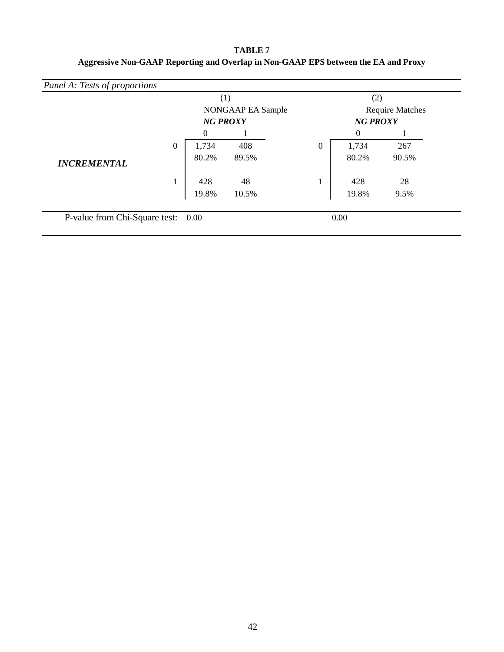**TABLE 7 Aggressive Non-GAAP Reporting and Overlap in Non-GAAP EPS between the EA and Proxy**

|                    |          |                                      | (1)   |                                           | (2)      |       |
|--------------------|----------|--------------------------------------|-------|-------------------------------------------|----------|-------|
|                    |          | NONGAAP EA Sample<br><b>NG PROXY</b> |       | <b>Require Matches</b><br><b>NG PROXY</b> |          |       |
|                    |          |                                      |       |                                           |          |       |
|                    |          | 0                                    |       |                                           | $\theta$ |       |
|                    | $\theta$ | 1,734                                | 408   | $\overline{0}$                            | 1,734    | 267   |
| <b>INCREMENTAL</b> |          | 80.2%                                | 89.5% |                                           | 80.2%    | 90.5% |
|                    | 1        | 428                                  | 48    |                                           | 428      | 28    |
|                    |          | 19.8%                                | 10.5% |                                           | 19.8%    | 9.5%  |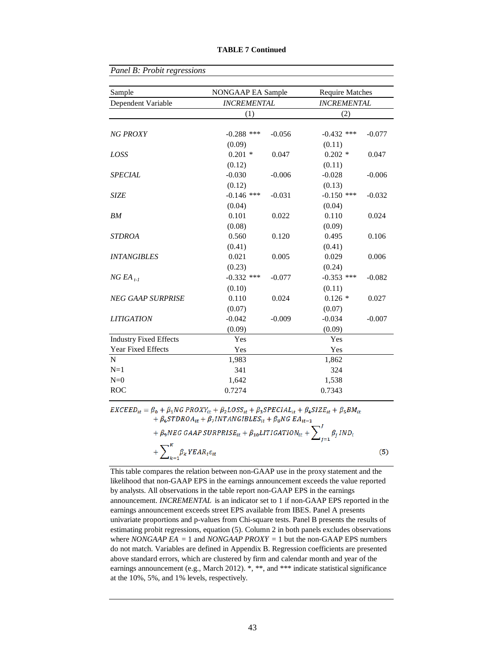| Sample                        | NONGAAP EA Sample  | <b>Require Matches</b><br><b>INCREMENTAL</b> |              |          |
|-------------------------------|--------------------|----------------------------------------------|--------------|----------|
| Dependent Variable            | <b>INCREMENTAL</b> |                                              |              |          |
|                               | (1)                |                                              | (2)          |          |
| <b>NG PROXY</b>               | $-0.288$ ***       | $-0.056$                                     | $-0.432$ *** | $-0.077$ |
|                               | (0.09)             |                                              | (0.11)       |          |
| LOSS                          | $0.201$ *          | 0.047                                        | $0.202*$     | 0.047    |
|                               | (0.12)             |                                              | (0.11)       |          |
| <b>SPECIAL</b>                | $-0.030$           | $-0.006$                                     | $-0.028$     | $-0.006$ |
|                               | (0.12)             |                                              | (0.13)       |          |
| <b>SIZE</b>                   | $-0.146$ ***       | $-0.031$                                     | $-0.150$ *** | $-0.032$ |
|                               | (0.04)             |                                              | (0.04)       |          |
| <b>BM</b>                     | 0.101              | 0.022                                        | 0.110        | 0.024    |
|                               | (0.08)             |                                              | (0.09)       |          |
| <b>STDROA</b>                 | 0.560              | 0.120                                        | 0.495        | 0.106    |
|                               | (0.41)             |                                              | (0.41)       |          |
| <b>INTANGIBLES</b>            | 0.021              | 0.005                                        | 0.029        | 0.006    |
|                               | (0.23)             |                                              | (0.24)       |          |
| $NGEA$ <sub>t-1</sub>         | $-0.332$ ***       | $-0.077$                                     | $-0.353$ *** | $-0.082$ |
|                               | (0.10)             |                                              | (0.11)       |          |
| <b>NEG GAAP SURPRISE</b>      | 0.110              | 0.024                                        | $0.126*$     | 0.027    |
|                               | (0.07)             |                                              | (0.07)       |          |
| <b>LITIGATION</b>             | $-0.042$           | $-0.009$                                     | $-0.034$     | $-0.007$ |
|                               | (0.09)             |                                              | (0.09)       |          |
| <b>Industry Fixed Effects</b> | Yes                |                                              | Yes          |          |
| Year Fixed Effects            | Yes                |                                              | Yes          |          |
| $\mathbf N$                   | 1,983              |                                              | 1,862        |          |
| $N=1$                         | 341                |                                              | 324          |          |
| $N=0$                         | 1,642              |                                              | 1,538        |          |
| <b>ROC</b>                    | 0.7274             |                                              | 0.7343       |          |

*Panel B: Probit regressions*

 $EXCEED_{it} = \beta_0 + \beta_1 NG \, PROXY_{it} + \beta_2 LOSS_{it} + \beta_3 SPECIAL_{it} + \beta_4 SIZE_{it} + \beta_5 BM_{it}$  $+ \beta_6 STDROA_{it} + \beta_7 INTANGIBLES_{it} + \beta_8 NG EA_{it-1} + \beta_6 STDROA_{it} + \beta_7 INTANGIBLES_{it} + \beta_8 NG EA_{it-1}$ 

+ 
$$
\beta_9 NEG GMAP SURPRISE_{it} + \beta_{10} LITIGATION_{it} + \sum_{j=1}^{N} \beta_j IND_i
$$
  
+  $\sum_{k=1}^{K} \beta_k YEAR_t \varepsilon_{it}$  (5)

This table compares the relation between non-GAAP use in the proxy statement and the likelihood that non-GAAP EPS in the earnings announcement exceeds the value reported by analysts. All observations in the table report non-GAAP EPS in the earnings announcement. *INCREMENTAL* is an indicator set to 1 if non-GAAP EPS reported in the earnings announcement exceeds street EPS available from IBES. Panel A presents univariate proportions and p-values from Chi-square tests. Panel B presents the results of estimating probit regressions, equation (5). Column 2 in both panels excludes observations where *NONGAAP EA* = 1 and *NONGAAP PROXY* = 1 but the non-GAAP EPS numbers do not match. Variables are defined in Appendix B. Regression coefficients are presented above standard errors, which are clustered by firm and calendar month and year of the earnings announcement (e.g., March 2012). \*, \*\*, and \*\*\* indicate statistical significance at the 10%, 5%, and 1% levels, respectively.